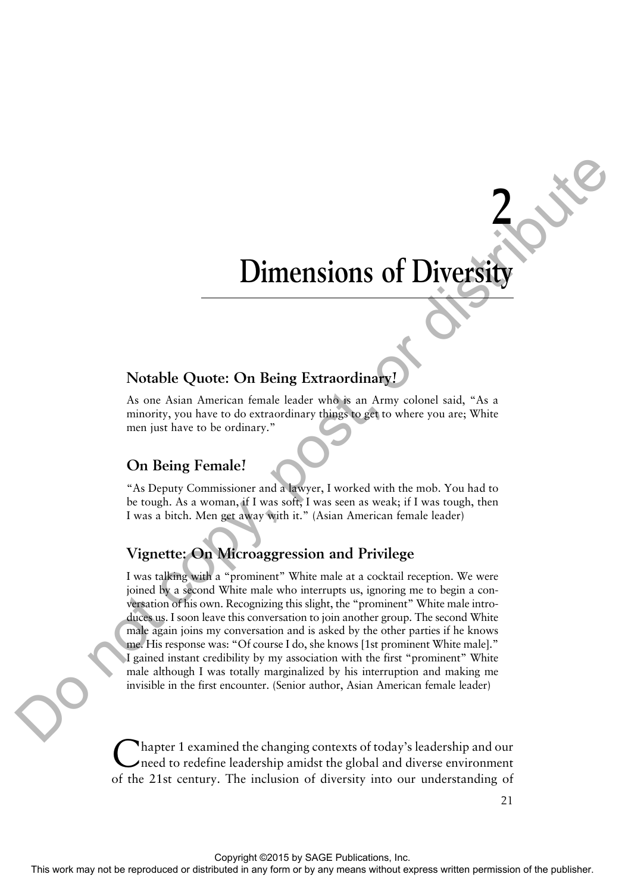# **Dimensions of Diversity**

# **Notable Quote: On Being Extraordinary!**

As one Asian American female leader who is an Army colonel said, "As a minority, you have to do extraordinary things to get to where you are; White men just have to be ordinary."

# **On Being Female!**

 " As Deputy Commissioner and a lawyer, I worked with the mob. You had to be tough. As a woman, if I was soft, I was seen as weak; if I was tough, then I was a bitch. Men get away with it." (Asian American female leader)

# **Vignette: On Microaggression and Privilege**

I was talking with a "prominent" White male at a cocktail reception. We were joined by a second White male who interrupts us, ignoring me to begin a conversation of his own. Recognizing this slight, the "prominent" White male introduces us. I soon leave this conversation to join another group. The second White male again joins my conversation and is asked by the other parties if he knows me. His response was: "Of course I do, she knows [1st prominent White male]." I gained instant credibility by my association with the first "prominent" White male although I was totally marginalized by his interruption and making me invisible in the first encounter. (Senior author, Asian American female leader) **Dimensions of Diversity**<br>
Notable Quate: On Being Extraordinary<br>
As one has a function permission of the state and any domain any means and  $\sim$  bit a<br>
minority, poi have a sole encounted in published or a long consisten

'hapter 1 examined the changing contexts of today's leadership and our need to redefine leadership amidst the global and diverse environment of the 21st century. The inclusion of diversity into our understanding of

 **2**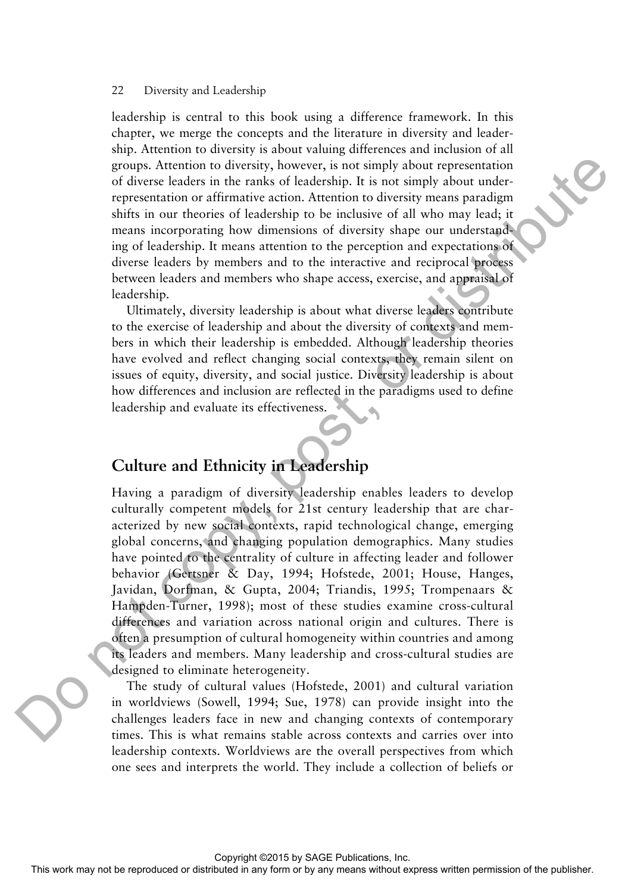leadership is central to this book using a difference framework. In this chapter, we merge the concepts and the literature in diversity and leadership. Attention to diversity is about valuing differences and inclusion of all groups. Attention to diversity, however, is not simply about representation of diverse leaders in the ranks of leadership. It is not simply about underrepresentation or affirmative action. Attention to diversity means paradigm shifts in our theories of leadership to be inclusive of all who may lead; it means incorporating how dimensions of diversity shape our understanding of leadership. It means attention to the perception and expectations of diverse leaders by members and to the interactive and reciprocal process between leaders and members who shape access, exercise, and appraisal of leadership.

Ultimately, diversity leadership is about what diverse leaders contribute to the exercise of leadership and about the diversity of contexts and members in which their leadership is embedded. Although leadership theories have evolved and reflect changing social contexts, they remain silent on issues of equity, diversity, and social justice. Diversity leadership is about how differences and inclusion are reflected in the paradigms used to define leadership and evaluate its effectiveness.

# **Culture and Ethnicity in Leadership**

Having a paradigm of diversity leadership enables leaders to develop culturally competent models for 21st century leadership that are characterized by new social contexts, rapid technological change, emerging global concerns, and changing population demographics. Many studies have pointed to the centrality of culture in affecting leader and follower behavior (Gertsner & Day, 1994; Hofstede, 2001; House, Hanges, Javidan, Dorfman, & Gupta, 2004; Triandis, 1995; Trompenaars & Hampden-Turner, 1998); most of these studies examine cross-cultural differences and variation across national origin and cultures. There is often a presumption of cultural homogeneity within countries and among its leaders and members. Many leadership and cross-cultural studies are designed to eliminate heterogeneity. proving Attention to a discrete in any form or distributed in any form or by any means and the publisher and the publisher and the publisher and the publisher and the publisher. The rest in a distributed in any form or by

The study of cultural values (Hofstede, 2001) and cultural variation in worldviews (Sowell, 1994; Sue, 1978) can provide insight into the challenges leaders face in new and changing contexts of contemporary times. This is what remains stable across contexts and carries over into leadership contexts. Worldviews are the overall perspectives from which one sees and interprets the world. They include a collection of beliefs or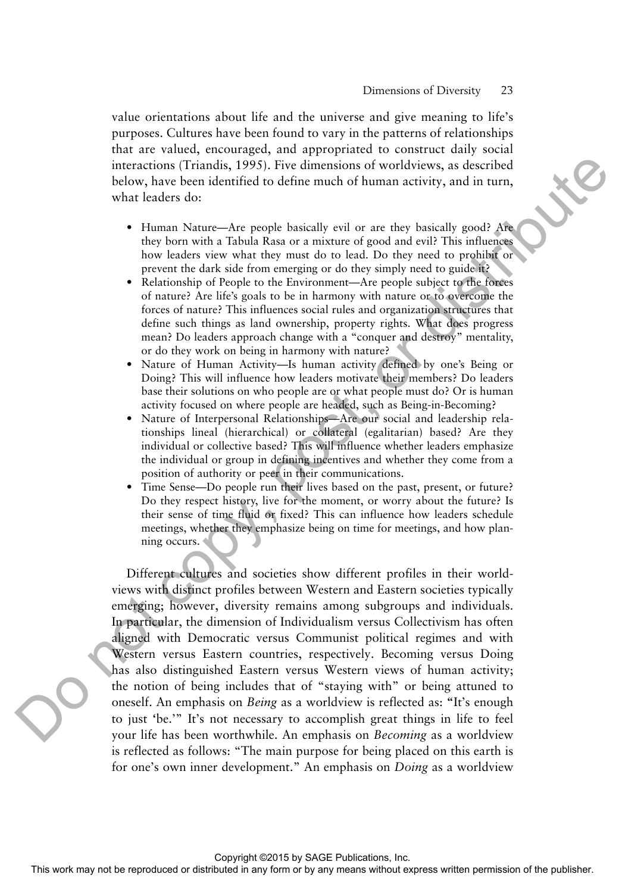value orientations about life and the universe and give meaning to life's purposes. Cultures have been found to vary in the patterns of relationships that are valued, encouraged, and appropriated to construct daily social interactions (Triandis, 1995). Five dimensions of worldviews, as described below, have been identified to define much of human activity, and in turn, what leaders do:

- Human Nature—Are people basically evil or are they basically good? Are they born with a Tabula Rasa or a mixture of good and evil? This influences how leaders view what they must do to lead. Do they need to prohibit or prevent the dark side from emerging or do they simply need to guide it?
- Relationship of People to the Environment—Are people subject to the forces of nature? Are life's goals to be in harmony with nature or to overcome the forces of nature? This influences social rules and organization structures that define such things as land ownership, property rights. What does progress mean? Do leaders approach change with a "conquer and destroy" mentality, or do they work on being in harmony with nature?
- Nature of Human Activity—Is human activity defined by one's Being or Doing? This will influence how leaders motivate their members? Do leaders base their solutions on who people are or what people must do? Or is human activity focused on where people are headed, such as Being-in-Becoming?
- Nature of Interpersonal Relationships—Are our social and leadership relationships lineal (hierarchical) or collateral (egalitarian) based? Are they individual or collective based? This will influence whether leaders emphasize the individual or group in defining incentives and whether they come from a position of authority or peer in their communications.
- Time Sense—Do people run their lives based on the past, present, or future? Do they respect history, live for the moment, or worry about the future? Is their sense of time fluid or fixed? This can influence how leaders schedule meetings, whether they emphasize being on time for meetings, and how planning occurs.

Different cultures and societies show different profiles in their worldviews with distinct profiles between Western and Eastern societies typically emerging; however, diversity remains among subgroups and individuals. In particular, the dimension of Individualism versus Collectivism has often aligned with Democratic versus Communist political regimes and with Western versus Eastern countries, respectively. Becoming versus Doing has also distinguished Eastern versus Western views of human activity; the notion of being includes that of "staying with" or being attuned to oneself. An emphasis on *Being* as a worldview is reflected as: **"**It's enough to just **'**be.'" It's not necessary to accomplish great things in life to feel your life has been worthwhile. An emphasis on *Becoming* as a worldview is reflected as follows: "The main purpose for being placed on this earth is for one's own inner development." An emphasis on *Doing* as a worldview The maximized or the matrix of the reproduced or distributed in any form or by any means with the reproduced or distributed in any form or by any means with the matrix of the publisher. This work means we consider the pub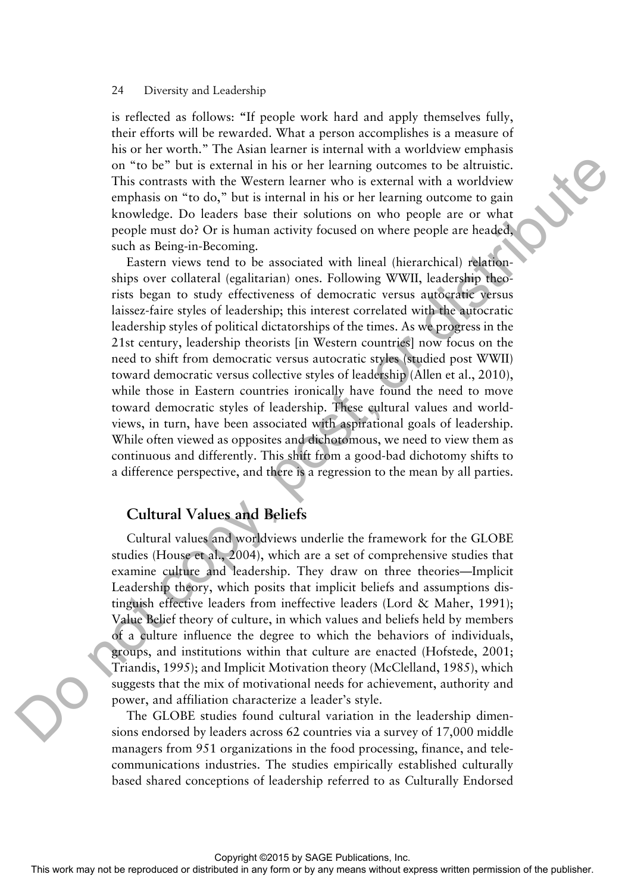is reflected as follows: **"**If people work hard and apply themselves fully, their efforts will be rewarded. What a person accomplishes is a measure of his or her worth." The Asian learner is internal with a worldview emphasis on "to be" but is external in his or her learning outcomes to be altruistic. This contrasts with the Western learner who is external with a worldview emphasis on "to do," but is internal in his or her learning outcome to gain knowledge. Do leaders base their solutions on who people are or what people must do? Or is human activity focused on where people are headed, such as Being-in-Becoming.

Eastern views tend to be associated with lineal (hierarchical) relationships over collateral (egalitarian) ones. Following WWII, leadership theorists began to study effectiveness of democratic versus autocratic versus laissez-faire styles of leadership; this interest correlated with the autocratic leadership styles of political dictatorships of the times. As we progress in the 21st century, leadership theorists [in Western countries] now focus on the need to shift from democratic versus autocratic styles (studied post WWII) toward democratic versus collective styles of leadership (Allen et al., 2010), while those in Eastern countries ironically have found the need to move toward democratic styles of leadership. These cultural values and worldviews, in turn, have been associated with aspirational goals of leadership. While often viewed as opposites and dichotomous, we need to view them as continuous and differently. This shift from a good-bad dichotomy shifts to a difference perspective, and there is a regression to the mean by all parties. on "the be" his increased or distributed in any form or by any measure in a statistical computer or distributed in any form or but in a statistical control of the internal in this correlation or the properties are been pr

# **Cultural Values and Beliefs**

Cultural values and worldviews underlie the framework for the GLOBE studies (House et al., 2004), which are a set of comprehensive studies that examine culture and leadership. They draw on three theories—Implicit Leadership theory, which posits that implicit beliefs and assumptions distinguish effective leaders from ineffective leaders (Lord & Maher, 1991); Value Belief theory of culture, in which values and beliefs held by members of a culture influence the degree to which the behaviors of individuals, groups, and institutions within that culture are enacted (Hofstede, 2001; Triandis, 1995); and Implicit Motivation theory (McClelland, 1985), which suggests that the mix of motivational needs for achievement, authority and power, and affiliation characterize a leader's style.

The GLOBE studies found cultural variation in the leadership dimensions endorsed by leaders across 62 countries via a survey of 17,000 middle managers from 951 organizations in the food processing, finance, and telecommunications industries. The studies empirically established culturally based shared conceptions of leadership referred to as *C*ulturally Endorsed

Copyright ©2015 by SAGE Publications, Inc.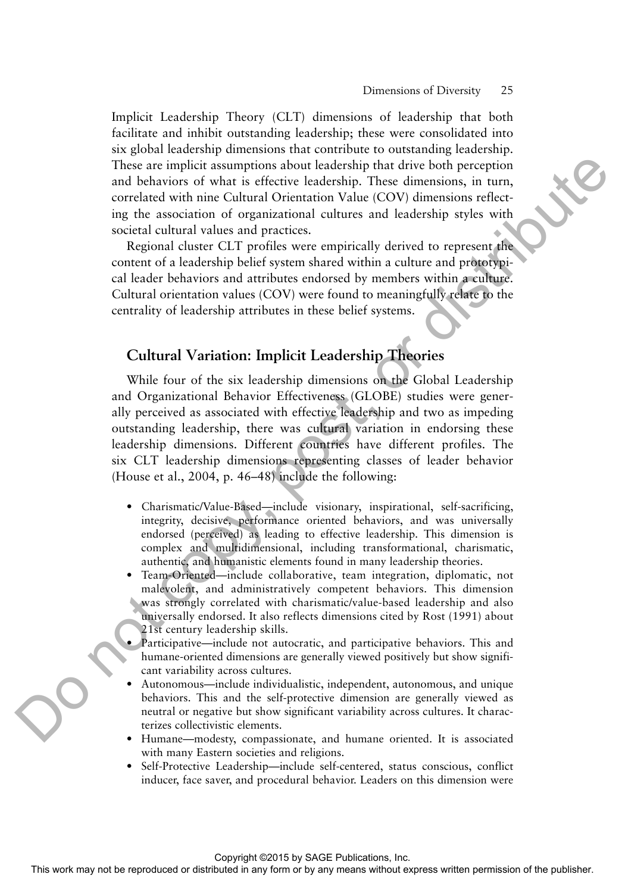Implicit Leadership Theory (CLT) dimensions of leadership that both facilitate and inhibit outstanding leadership; these were consolidated into six global leadership dimensions that contribute to outstanding leadership. These are implicit assumptions about leadership that drive both perception and behaviors of what is effective leadership. These dimensions, in turn, correlated with nine Cultural Orientation Value (COV) dimensions reflecting the association of organizational cultures and leadership styles with societal cultural values and practices.

Regional cluster CLT profiles were empirically derived to represent the content of a leadership belief system shared within a culture and prototypical leader behaviors and attributes endorsed by members within a culture. Cultural orientation values (COV) were found to meaningfully relate to the centrality of leadership attributes in these belief systems.

### **Cultural Variation: Implicit Leadership Theories**

While four of the six leadership dimensions on the Global Leadership and Organizational Behavior Effectiveness (GLOBE) studies were generally perceived as associated with effective leadership and two as impeding outstanding leadership, there was cultural variation in endorsing these leadership dimensions. Different countries have different profiles. The six CLT leadership dimensions representing classes of leader behavior (House et al., 2004, p. 46–48) include the following: These are inpulsion any means about the distributed with the distributed in the representation of the reproduced or distributed in any form or between the specific any means with a second or distributed in all produced or

- Charismatic/Value-Based—include visionary, inspirational, self-sacrificing, integrity, decisive, performance oriented behaviors, and was universally endorsed (perceived) as leading to effective leadership. This dimension is complex and multidimensional, including transformational, charismatic, authentic, and humanistic elements found in many leadership theories.
- Team-Oriented—include collaborative, team integration, diplomatic, not malevolent, and administratively competent behaviors. This dimension was strongly correlated with charismatic/value-based leadership and also universally endorsed. It also reflects dimensions cited by Rost (1991) about 21st century leadership skills.
- Participative—include not autocratic, and participative behaviors. This and humane-oriented dimensions are generally viewed positively but show significant variability across cultures.
- Autonomous—include individualistic, independent, autonomous, and unique behaviors. This and the self-protective dimension are generally viewed as neutral or negative but show significant variability across cultures. It characterizes collectivistic elements.
- Humane—modesty, compassionate, and humane oriented. It is associated with many Eastern societies and religions.
- Self-Protective Leadership—include self-centered, status conscious, conflict inducer, face saver, and procedural behavior. Leaders on this dimension were

Copyright ©2015 by SAGE Publications, Inc.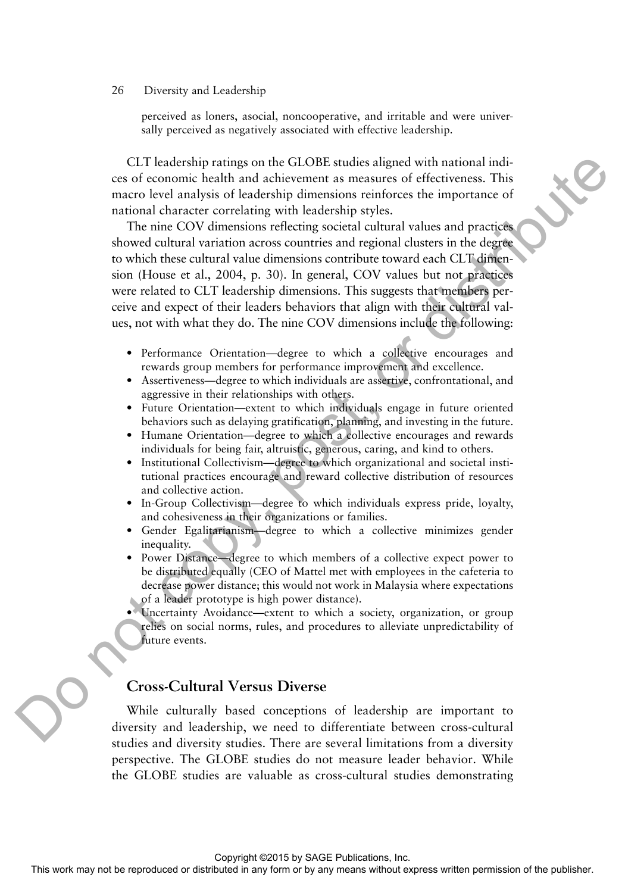perceived as loners, asocial, noncooperative, and irritable and were universally perceived as negatively associated with effective leadership.

CLT leadership ratings on the GLOBE studies aligned with national indices of economic health and achievement as measures of effectiveness. This macro level analysis of leadership dimensions reinforces the importance of national character correlating with leadership styles.

The nine COV dimensions reflecting societal cultural values and practices showed cultural variation across countries and regional clusters in the degree to which these cultural value dimensions contribute toward each CLT dimension (House et al., 2004, p. 30). In general, COV values but not practices were related to CLT leadership dimensions. This suggests that members perceive and expect of their leaders behaviors that align with their cultural values, not with what they do. The nine COV dimensions include the following: CT is also the repressed or distributed or distributed or distributed in any form or be reproduced to the reproduced or by any means we are the publisher. This means we are the reproduced or by any form or by any form of

- Performance Orientation—degree to which a collective encourages and rewards group members for performance improvement and excellence.
- Assertiveness—degree to which individuals are assertive, confrontational, and aggressive in their relationships with others.
- Future Orientation—extent to which individuals engage in future oriented behaviors such as delaying gratification, planning, and investing in the future.
- Humane Orientation—degree to which a collective encourages and rewards individuals for being fair, altruistic, generous, caring, and kind to others.
- Institutional Collectivism—degree to which organizational and societal institutional practices encourage and reward collective distribution of resources and collective action.
- In-Group Collectivism—degree to which individuals express pride, loyalty, and cohesiveness in their organizations or families.
- Gender Egalitarianism—degree to which a collective minimizes gender inequality.
- Power Distance—degree to which members of a collective expect power to be distributed equally (CEO of Mattel met with employees in the cafeteria to decrease power distance; this would not work in Malaysia where expectations of a leader prototype is high power distance).

• Uncertainty Avoidance—extent to which a society, organization, or group relies on social norms, rules, and procedures to alleviate unpredictability of future events.

### **Cross-Cultural Versus Diverse**

While culturally based conceptions of leadership are important to diversity and leadership, we need to differentiate between cross-cultural studies and diversity studies. There are several limitations from a diversity perspective. The GLOBE studies do not measure leader behavior. While the GLOBE studies are valuable as cross-cultural studies demonstrating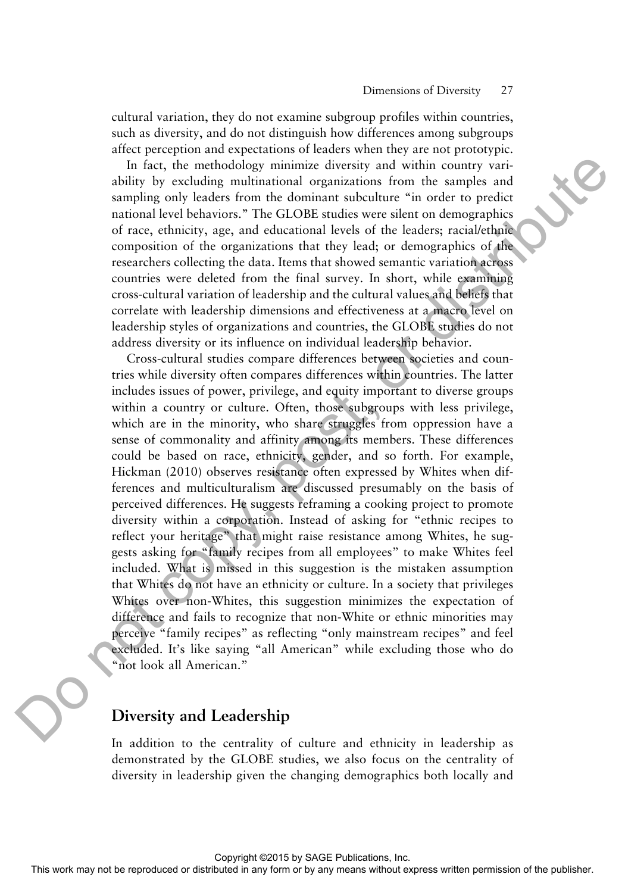cultural variation, they do not examine subgroup profiles within countries, such as diversity, and do not distinguish how differences among subgroups affect perception and expectations of leaders when they are not prototypic.

In fact, the methodology minimize diversity and within country variability by excluding multinational organizations from the samples and sampling only leaders from the dominant subculture "in order to predict national level behaviors." The GLOBE studies were silent on demographics of race, ethnicity, age, and educational levels of the leaders; racial/ethnic composition of the organizations that they lead; or demographics of the researchers collecting the data. Items that showed semantic variation across countries were deleted from the final survey. In short, while examining cross-cultural variation of leadership and the cultural values and beliefs that correlate with leadership dimensions and effectiveness at a macro level on leadership styles of organizations and countries, the GLOBE studies do not address diversity or its influence on individual leadership behavior.

Cross-cultural studies compare differences between societies and countries while diversity often compares differences within countries. The latter includes issues of power, privilege, and equity important to diverse groups within a country or culture. Often, those subgroups with less privilege, which are in the minority, who share struggles from oppression have a sense of commonality and affinity among its members. These differences could be based on race, ethnicity, gender, and so forth. For example, Hickman (2010) observes resistance often expressed by Whites when differences and multiculturalism are discussed presumably on the basis of perceived differences. He suggests reframing a cooking project to promote diversity within a corporation. Instead of asking for "ethnic recipes to reflect your heritage" that might raise resistance among Whites, he suggests asking for "family recipes from all employees" to make Whites feel included. What is missed in this suggestion is the mistaken assumption that Whites do not have an ethnicity or culture. In a society that privileges Whites over non-Whites, this suggestion minimizes the expectation of difference and fails to recognize that non-White or ethnic minorities may perceive "family recipes" as reflecting "only mainstream recipes" and feel excluded. It's like saying "all American" while excluding those who do "not look all American." In this work may not be reproduced or distributed distributed in any form or by any means with the reproduced  $\sim$  the reproduced in any means when the state is not be reproduced that the publisher, are all elements and c

**Diversity and Leadership** 

In addition to the centrality of culture and ethnicity in leadership as demonstrated by the GLOBE studies, we also focus on the centrality of diversity in leadership given the changing demographics both locally and

Copyright ©2015 by SAGE Publications, Inc.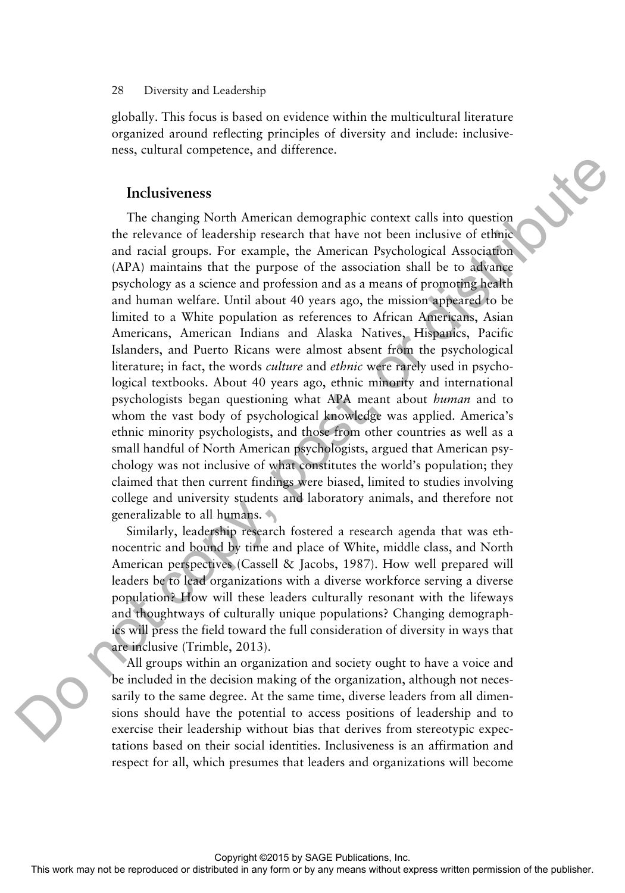globally. This focus is based on evidence within the multicultural literature organized around reflecting principles of diversity and include: inclusiveness, cultural competence, and difference.

### **Inclusiveness**

The changing North American demographic context calls into question the relevance of leadership research that have not been inclusive of ethnic and racial groups. For example, the American Psychological Association (APA) maintains that the purpose of the association shall be to advance psychology as a science and profession and as a means of promoting health and human welfare. Until about 40 years ago, the mission appeared to be limited to a White population as references to African Americans, Asian Americans, American Indians and Alaska Natives, Hispanics, Pacific Islanders, and Puerto Ricans were almost absent from the psychological literature; in fact, the words *culture* and *ethnic* were rarely used in psychological textbooks. About 40 years ago, ethnic minority and international psychologists began questioning what APA meant about *human* and to whom the vast body of psychological knowledge was applied. America's ethnic minority psychologists, and those from other countries as well as a small handful of North American psychologists, argued that American psychology was not inclusive of what constitutes the world's population; they claimed that then current findings were biased, limited to studies involving college and university students and laboratory animals, and therefore not generalizable to all humans. **The charging North American demographic context cells into question<br>and racial groups.** For exertable, the American Psychological Association<br>(APA) mointances that has been proposed of the susciention of the the publishe

Similarly, leadership research fostered a research agenda that was ethnocentric and bound by time and place of White, middle class, and North American perspectives (Cassell & Jacobs, 1987). How well prepared will leaders be to lead organizations with a diverse workforce serving a diverse population? How will these leaders culturally resonant with the lifeways and thoughtways of culturally unique populations? Changing demographics will press the field toward the full consideration of diversity in ways that are inclusive (Trimble, 2013).

All groups within an organization and society ought to have a voice and be included in the decision making of the organization, although not necessarily to the same degree. At the same time, diverse leaders from all dimensions should have the potential to access positions of leadership and to exercise their leadership without bias that derives from stereotypic expectations based on their social identities. Inclusiveness is an affirmation and respect for all, which presumes that leaders and organizations will become

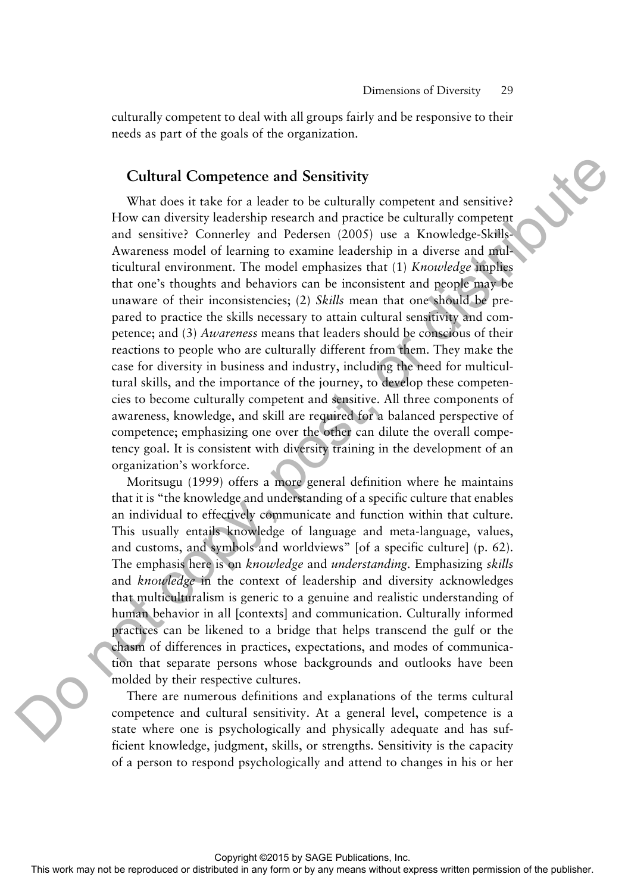culturally competent to deal with all groups fairly and be responsive to their needs as part of the goals of the organization.

### **Cultural Competence and Sensitivity**

What does it take for a leader to be culturally competent and sensitive? How can diversity leadership research and practice be culturally competent and sensitive? Connerley and Pedersen (2005) use a Knowledge-Skills-Awareness model of learning to examine leadership in a diverse and multicultural environment. The model emphasizes that (1) *Knowledge* implies that one's thoughts and behaviors can be inconsistent and people may be unaware of their inconsistencies; (2) *Skills* mean that one should be prepared to practice the skills necessary to attain cultural sensitivity and competence; and (3) *Awareness* means that leaders should be conscious of their reactions to people who are culturally different from them. They make the case for diversity in business and industry, including the need for multicultural skills, and the importance of the journey, to develop these competencies to become culturally competent and sensitive. All three components of awareness, knowledge, and skill are required for a balanced perspective of competence; emphasizing one over the other can dilute the overall competency goal. It is consistent with diversity training in the development of an organization's workforce. Cultural Competience and Sensitivity<br>
Who can distribute the formal group of a channel group contractive competer<br>
and statistic<sup>2</sup> Conneiley and detection (2005) use a Koowledge-Silific Assume the representation of the p

Moritsugu (1999) offers a more general definition where he maintains that it is "the knowledge and understanding of a specific culture that enables an individual to effectively communicate and function within that culture. This usually entails knowledge of language and meta-language, values, and customs, and symbols and worldviews" [of a specific culture] (p. 62). The emphasis here is on *knowledge* and *understanding.* Emphasizing *skills* and *knowledge* in the context of leadership and diversity acknowledges that multiculturalism is generic to a genuine and realistic understanding of human behavior in all [contexts] and communication. Culturally informed practices can be likened to a bridge that helps transcend the gulf or the chasm of differences in practices, expectations, and modes of communication that separate persons whose backgrounds and outlooks have been molded by their respective cultures.

There are numerous definitions and explanations of the terms cultural competence and cultural sensitivity. At a general level, competence is a state where one is psychologically and physically adequate and has sufficient knowledge, judgment, skills, or strengths. Sensitivity is the capacity of a person to respond psychologically and attend to changes in his or her

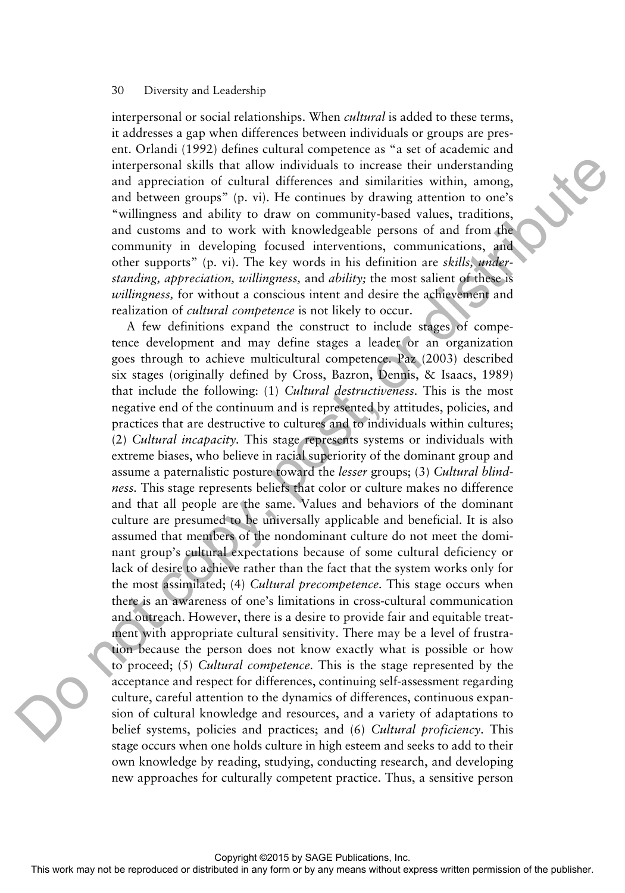interpersonal or social relationships. When *cultural* is added to these terms, it addresses a gap when differences between individuals or groups are present. Orlandi (1992) defines cultural competence as "a set of academic and interpersonal skills that allow individuals to increase their understanding and appreciation of cultural differences and similarities within, among, and between groups" (p. vi). He continues by drawing attention to one's "willingness and ability to draw on community-based values, traditions, and customs and to work with knowledgeable persons of and from the community in developing focused interventions, communications, and other supports" (p. vi). The key words in his definition are *skills, understanding, appreciation, willingness,* and *ability;* the most salient of these is *willingness,* for without a conscious intent and desire the achievement and realization of *cultural competence* is not likely to occur.

A few definitions expand the construct to include stages of competence development and may define stages a leader or an organization goes through to achieve multicultural competence. Paz (2003) described six stages (originally defined by Cross, Bazron, Dennis, & Isaacs, 1989) that include the following: (1) *Cultural destructiveness.* This is the most negative end of the continuum and is represented by attitudes, policies, and practices that are destructive to cultures and to individuals within cultures; (2) *Cultural incapacity*. This stage represents systems or individuals with extreme biases, who believe in racial superiority of the dominant group and assume a paternalistic posture toward the *lesser* groups; (3) *Cultural blindness.* This stage represents beliefs that color or culture makes no difference and that all people are the same. Values and behaviors of the dominant culture are presumed to be universally applicable and beneficial. It is also assumed that members of the nondominant culture do not meet the dominant group's cultural expectations because of some cultural deficiency or lack of desire to achieve rather than the fact that the system works only for the most assimilated; (4) *Cultural precompetence.* This stage occurs when there is an awareness of one's limitations in cross-cultural communication and outreach. However, there is a desire to provide fair and equitable treatment with appropriate cultural sensitivity. There may be a level of frustration because the person does not know exactly what is possible or how to proceed; (5) *Cultural competence.* This is the stage represented by the acceptance and respect for differences, continuing self-assessment regarding culture, careful attention to the dynamics of differences, continuous expansion of cultural knowledge and resources, and a variety of adaptations to belief systems, policies and practices; and (6) *Cultural proficiency.* This stage occurs when one holds culture in high esteem and seeks to add to their own knowledge by reading, studying, conducting research, and developing new approaches for culturally competent practice. Thus, a sensitive person interesting shifts that are distributed to increase their understanding<br>may not by any form or distributed in any form or by any means with the<br>system and the publisher any means with a controlling be determined by a<br>stri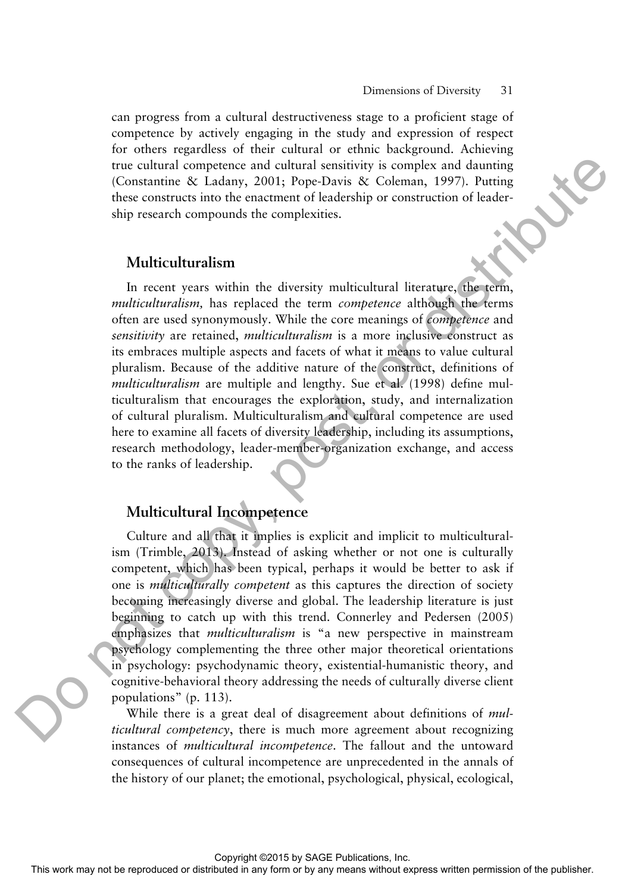can progress from a cultural destructiveness stage to a proficient stage of competence by actively engaging in the study and expression of respect for others regardless of their cultural or ethnic background. Achieving true cultural competence and cultural sensitivity is complex and daunting (Constantine & Ladany, 2001; Pope-Davis & Coleman, 1997). Putting these constructs into the enactment of leadership or construction of leadership research compounds the complexities.

### **Multiculturalism**

In recent years within the diversity multicultural literature, the term, *multiculturalism,* has replaced the term *competence* although the terms often are used synonymously. While the core meanings of *competence* and *sensitivity* are retained, *multiculturalism* is a more inclusive construct as its embraces multiple aspects and facets of what it means to value cultural pluralism. Because of the additive nature of the construct, definitions of *multiculturalism* are multiple and lengthy. Sue et al. (1998) define multiculturalism that encourages the exploration, study, and internalization of cultural pluralism. Multiculturalism and cultural competence are used here to examine all facets of diversity leadership, including its assumptions, research methodology, leader-member-organization exchange, and access to the ranks of leadership. The contract method is a stributed in a controller in a controller in any form or between the representation of the reproduced in any form or between the controller or between the controller controller any form or between

### **Multicultural Incompetence**

Culture and all that it implies is explicit and implicit to multiculturalism (Trimble, 2013). Instead of asking whether or not one is culturally competent, which has been typical, perhaps it would be better to ask if one is *multiculturally competent* as this captures the direction of society becoming increasingly diverse and global. The leadership literature is just beginning to catch up with this trend. Connerley and Pedersen (2005) emphasizes that *multiculturalism* is "a new perspective in mainstream psychology complementing the three other major theoretical orientations in psychology: psychodynamic theory, existential-humanistic theory, and cognitive-behavioral theory addressing the needs of culturally diverse client populations" (p. 113).

While there is a great deal of disagreement about definitions of *multicultural competency*, there is much more agreement about recognizing instances of *multicultural incompetence*. The fallout and the untoward consequences of cultural incompetence are unprecedented in the annals of the history of our planet; the emotional, psychological, physical, ecological,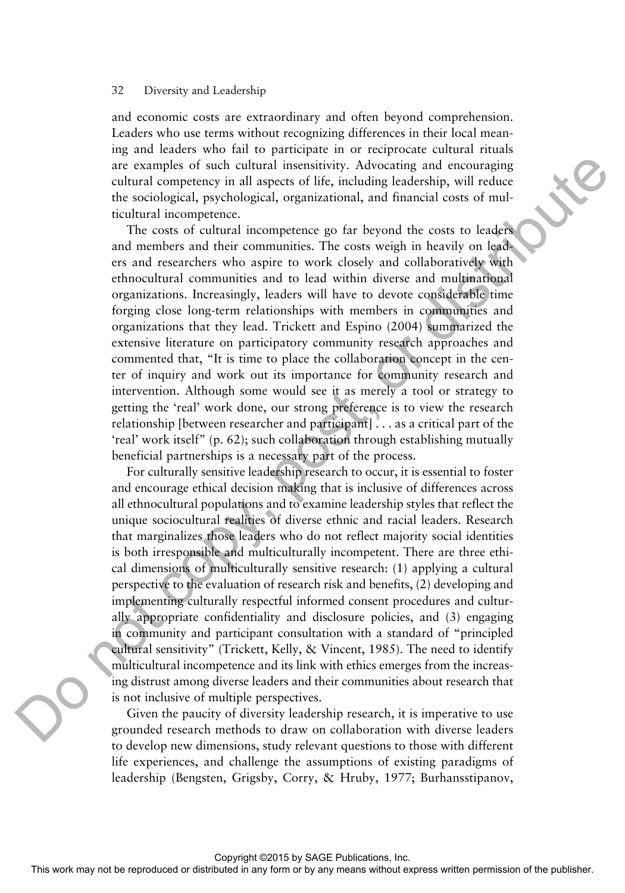and economic costs are extraordinary and often beyond comprehension. Leaders who use terms without recognizing differences in their local meaning and leaders who fail to participate in or reciprocate cultural rituals are examples of such cultural insensitivity. Advocating and encouraging cultural competency in all aspects of life, including leadership, will reduce the sociological, psychological, organizational, and financial costs of multicultural incompetence.

The costs of cultural incompetence go far beyond the costs to leaders and members and their communities. The costs weigh in heavily on leaders and researchers who aspire to work closely and collaboratively with ethnocultural communities and to lead within diverse and multinational organizations. Increasingly, leaders will have to devote considerable time forging close long-term relationships with members in communities and organizations that they lead. Trickett and Espino (2004) summarized the extensive literature on participatory community research approaches and commented that, "It is time to place the collaboration concept in the center of inquiry and work out its importance for community research and intervention. Although some would see it as merely a tool or strategy to getting the 'real' work done, our strong preference is to view the research relationship [between researcher and participant] . . . as a critical part of the 'real' work itself" (p. 62); such collaboration through establishing mutually beneficial partnerships is a necessary part of the process. are considered or the relation of the rest in any form or by any form or by any form or by any form or by any form or by any form or by any means of the same of the publisher, hydrodyzical, in grain the means of the resul

For culturally sensitive leadership research to occur, it is essential to foster and encourage ethical decision making that is inclusive of differences across all ethnocultural populations and to examine leadership styles that reflect the unique sociocultural realities of diverse ethnic and racial leaders. Research that marginalizes those leaders who do not reflect majority social identities is both irresponsible and multiculturally incompetent. There are three ethical dimensions of multiculturally sensitive research: (1) applying a cultural perspective to the evaluation of research risk and benefits, (2) developing and implementing culturally respectful informed consent procedures and culturally appropriate confidentiality and disclosure policies, and (3) engaging in community and participant consultation with a standard of "principled cultural sensitivity" (Trickett, Kelly, & Vincent, 1985). The need to identify multicultural incompetence and its link with ethics emerges from the increasing distrust among diverse leaders and their communities about research that is not inclusive of multiple perspectives.

Given the paucity of diversity leadership research, it is imperative to use grounded research methods to draw on collaboration with diverse leaders to develop new dimensions, study relevant questions to those with different life experiences, and challenge the assumptions of existing paradigms of leadership (Bengsten, Grigsby, Corry, & Hruby, 1977; Burhansstipanov,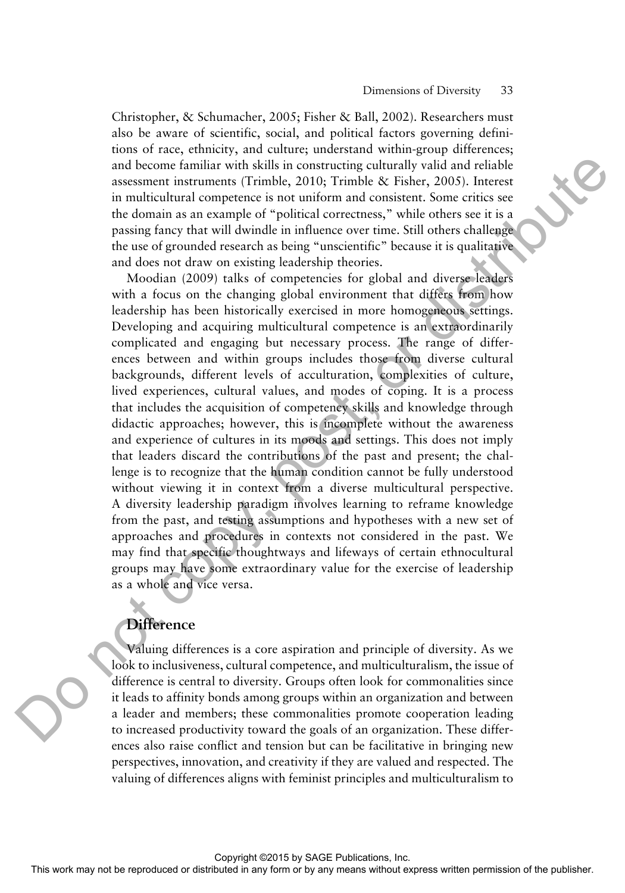Christopher, & Schumacher, 2005; Fisher & Ball, 2002). Researchers must also be aware of scientific, social, and political factors governing definitions of race, ethnicity, and culture; understand within-group differences; and become familiar with skills in constructing culturally valid and reliable assessment instruments (Trimble, 2010; Trimble & Fisher, 2005). Interest in multicultural competence is not uniform and consistent. Some critics see the domain as an example of "political correctness," while others see it is a passing fancy that will dwindle in influence over time. Still others challenge the use of grounded research as being "unscientific" because it is qualitative and does not draw on existing leadership theories.

Moodian (2009) talks of competencies for global and diverse leaders with a focus on the changing global environment that differs from how leadership has been historically exercised in more homogeneous settings. Developing and acquiring multicultural competence is an extraordinarily complicated and engaging but necessary process. The range of differences between and within groups includes those from diverse cultural backgrounds, different levels of acculturation, complexities of culture, lived experiences, cultural values, and modes of coping. It is a process that includes the acquisition of competency skills and knowledge through didactic approaches; however, this is incomplete without the awareness and experience of cultures in its moods and settings. This does not imply that leaders discard the contributions of the past and present; the challenge is to recognize that the human condition cannot be fully understood without viewing it in context from a diverse multicultural perspective. A diversity leadership paradigm involves learning to reframe knowledge from the past, and testing assumptions and hypotheses with a new set of approaches and procedures in contexts not considered in the past. We may find that specific thoughtways and lifeways of certain ethnocultural groups may have some extraordinary value for the exercise of leadership as a whole and vice versa. and become incultured with a consense is not uniform in any cannot be reproduced to the representation of the representation of the publisher. The correction of the publisher of the publisher. The publisher of the publish

## **Difference**

Valuing differences is a core aspiration and principle of diversity. As we look to inclusiveness, cultural competence, and multiculturalism, the issue of difference is central to diversity. Groups often look for commonalities since it leads to affinity bonds among groups within an organization and between a leader and members; these commonalities promote cooperation leading to increased productivity toward the goals of an organization. These differences also raise conflict and tension but can be facilitative in bringing new perspectives, innovation, and creativity if they are valued and respected. The valuing of differences aligns with feminist principles and multiculturalism to

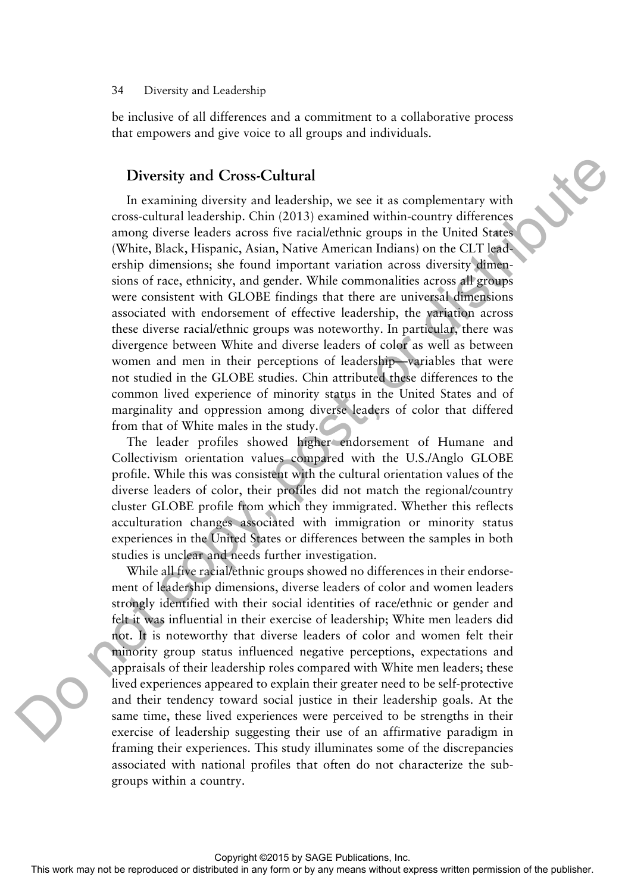be inclusive of all differences and a commitment to a collaborative process that empowers and give voice to all groups and individuals.

### **Diversity and Cross-Cultural**

In examining diversity and leadership, we see it as complementary with cross-cultural leadership. Chin (2013) examined within-country differences among diverse leaders across five racial/ethnic groups in the United States (White, Black, Hispanic, Asian, Native American Indians) on the CLT leadership dimensions; she found important variation across diversity dimensions of race, ethnicity, and gender. While commonalities across all groups were consistent with GLOBE findings that there are universal dimensions associated with endorsement of effective leadership, the variation across these diverse racial/ethnic groups was noteworthy. In particular, there was divergence between White and diverse leaders of color as well as between women and men in their perceptions of leadership—variables that were not studied in the GLOBE studies. Chin attributed these differences to the common lived experience of minority status in the United States and of marginality and oppression among diverse leaders of color that differed from that of White males in the study. **Diversity and Cross-Cultural**<br>
In examing diversing, we see it as complementary with<br>
cross-cultural beherialty. Form Notice American beharing controlled the<br>system of the publisher and the U-S-may notation of the CD spa

The leader profiles showed higher endorsement of Humane and Collectivism orientation values compared with the U.S./Anglo GLOBE profile. While this was consistent with the cultural orientation values of the diverse leaders of color, their profiles did not match the regional/country cluster GLOBE profile from which they immigrated. Whether this reflects acculturation changes associated with immigration or minority status experiences in the United States or differences between the samples in both studies is unclear and needs further investigation.

While all five racial/ethnic groups showed no differences in their endorsement of leadership dimensions, diverse leaders of color and women leaders strongly identified with their social identities of race/ethnic or gender and felt it was influential in their exercise of leadership; White men leaders did not. It is noteworthy that diverse leaders of color and women felt their minority group status influenced negative perceptions, expectations and appraisals of their leadership roles compared with White men leaders; these lived experiences appeared to explain their greater need to be self-protective and their tendency toward social justice in their leadership goals. At the same time, these lived experiences were perceived to be strengths in their exercise of leadership suggesting their use of an affirmative paradigm in framing their experiences. This study illuminates some of the discrepancies associated with national profiles that often do not characterize the subgroups within a country.

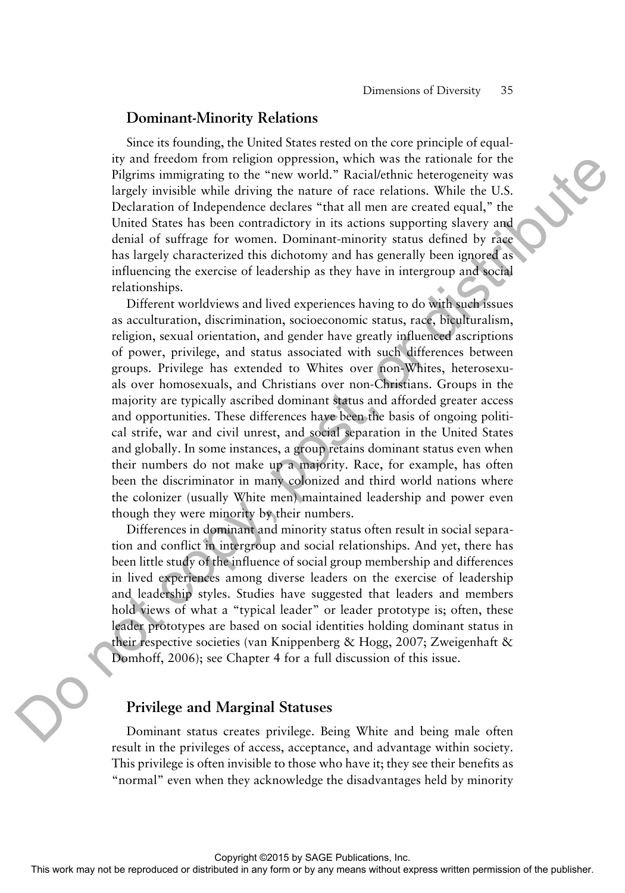### **Dominant-Minority Relations**

Since its founding, the United States rested on the core principle of equality and freedom from religion oppression, which was the rationale for the Pilgrims immigrating to the "new world." Racial/ethnic heterogeneity was largely invisible while driving the nature of race relations. While the U.S. Declaration of Independence declares "that all men are created equal," the United States has been contradictory in its actions supporting slavery and denial of suffrage for women. Dominant-minority status defined by race has largely characterized this dichotomy and has generally been ignored as influencing the exercise of leadership as they have in intergroup and social relationships.

Different worldviews and lived experiences having to do with such issues as acculturation, discrimination, socioeconomic status, race, biculturalism, religion, sexual orientation, and gender have greatly influenced ascriptions of power, privilege, and status associated with such differences between groups. Privilege has extended to Whites over non-Whites, heterosexuals over homosexuals, and Christians over non-Christians. Groups in the majority are typically ascribed dominant status and afforded greater access and opportunities. These differences have been the basis of ongoing political strife, war and civil unrest, and social separation in the United States and globally. In some instances, a group retains dominant status even when their numbers do not make up a majority. Race, for example, has often been the discriminator in many colonized and third world nations where the colonizer (usually White men) maintained leadership and power even though they were minority by their numbers. To and the relation to the representation with was the calondar for the publisher and the relation of the relation of the relation of the relation of the relation of the relation of the relation of the relation of the rel

Differences in dominant and minority status often result in social separation and conflict in intergroup and social relationships. And yet, there has been little study of the influence of social group membership and differences in lived experiences among diverse leaders on the exercise of leadership and leadership styles. Studies have suggested that leaders and members hold views of what a "typical leader" or leader prototype is; often, these leader prototypes are based on social identities holding dominant status in their respective societies (van Knippenberg & Hogg, 2007; Zweigenhaft & Domhoff, 2006); see Chapter 4 for a full discussion of this issue.

### **Privilege and Marginal Statuses**

Dominant status creates privilege. Being White and being male often result in the privileges of access, acceptance, and advantage within society. This privilege is often invisible to those who have it; they see their benefits as "normal" even when they acknowledge the disadvantages held by minority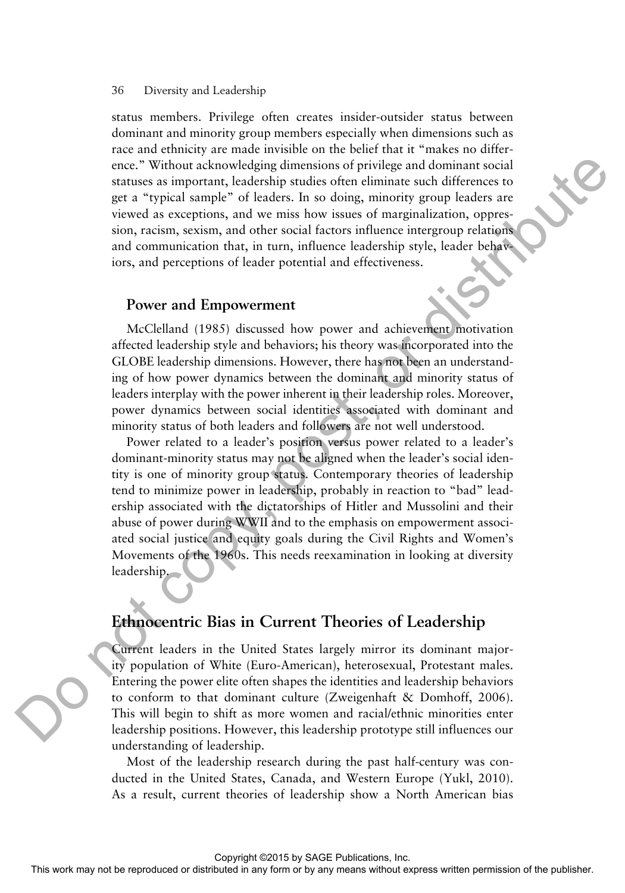status members. Privilege often creates insider-outsider status between dominant and minority group members especially when dimensions such as race and ethnicity are made invisible on the belief that it "makes no difference." Without acknowledging dimensions of privilege and dominant social statuses as important, leadership studies often eliminate such differences to get a "typical sample" of leaders. In so doing, minority group leaders are viewed as exceptions, and we miss how issues of marginalization, oppression, racism, sexism, and other social factors influence intergroup relations and communication that, in turn, influence leadership style, leader behaviors, and perceptions of leader potential and effectiveness.

### **Power and Empowerment**

McClelland (1985) discussed how power and achievement motivation affected leadership style and behaviors; his theory was incorporated into the GLOBE leadership dimensions. However, there has not been an understanding of how power dynamics between the dominant and minority status of leaders interplay with the power inherent in their leadership roles. Moreover, power dynamics between social identities associated with dominant and minority status of both leaders and followers are not well understood.

Power related to a leader's position versus power related to a leader's dominant-minority status may not be aligned when the leader's social identity is one of minority group status. Contemporary theories of leadership tend to minimize power in leadership, probably in reaction to "bad" leadership associated with the dictatorships of Hitler and Mussolini and their abuse of power during WWII and to the emphasis on empowerment associated social justice and equity goals during the Civil Rights and Women's Movements of the 1960s. This needs reexamination in looking at diversity leadership. ence." Within a chooseholging dimensions of privates and dominant scales by a<br>starts as impurant headers in subsection of the representation of the<br>system and the reproduced in any ministry group headers are started in a<br>

# **Ethnocentric Bias in Current Theories of Leadership**

Current leaders in the United States largely mirror its dominant majority population of White (Euro-American), heterosexual, Protestant males. Entering the power elite often shapes the identities and leadership behaviors to conform to that dominant culture (Zweigenhaft & Domhoff, 2006). This will begin to shift as more women and racial/ethnic minorities enter leadership positions. However, this leadership prototype still influences our understanding of leadership.

Most of the leadership research during the past half-century was conducted in the United States, Canada, and Western Europe (Yukl, 2010). As a result, current theories of leadership show a North American bias

Copyright ©2015 by SAGE Publications, Inc.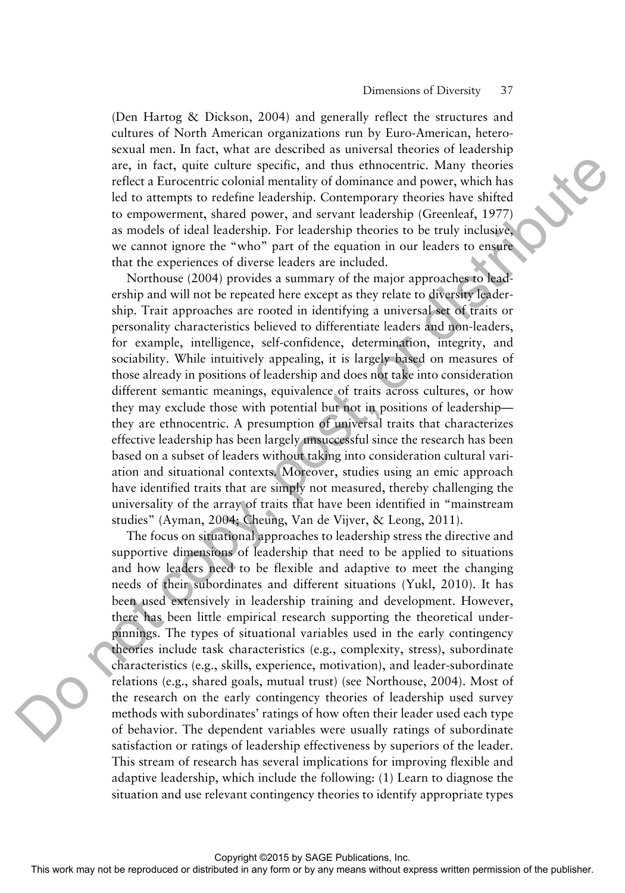(Den Hartog & Dickson, 2004) and generally reflect the structures and cultures of North American organizations run by Euro-American, heterosexual men. In fact, what are described as universal theories of leadership are, in fact, quite culture specific, and thus ethnocentric. Many theories reflect a Eurocentric colonial mentality of dominance and power, which has led to attempts to redefine leadership. Contemporary theories have shifted to empowerment, shared power, and servant leadership (Greenleaf, 1977) as models of ideal leadership. For leadership theories to be truly inclusive, we cannot ignore the "who" part of the equation in our leaders to ensure that the experiences of diverse leaders are included.

Northouse (2004) provides a summary of the major approaches to leadership and will not be repeated here except as they relate to diversity leadership. Trait approaches are rooted in identifying a universal set of traits or personality characteristics believed to differentiate leaders and non-leaders, for example, intelligence, self-confidence, determination, integrity, and sociability. While intuitively appealing, it is largely based on measures of those already in positions of leadership and does not take into consideration different semantic meanings, equivalence of traits across cultures, or how they may exclude those with potential but not in positions of leadership they are ethnocentric. A presumption of universal traits that characterizes effective leadership has been largely unsuccessful since the research has been based on a subset of leaders without taking into consideration cultural variation and situational contexts. Moreover, studies using an emic approach have identified traits that are simply not measured, thereby challenging the universality of the array of traits that have been identified in "mainstream studies" (Ayman, 2004; Cheung, Van de Vijver, & Leong, 2011).

The focus on situational approaches to leadership stress the directive and supportive dimensions of leadership that need to be applied to situations and how leaders need to be flexible and adaptive to meet the changing needs of their subordinates and different situations (Yukl, 2010). It has been used extensively in leadership training and development. However, there has been little empirical research supporting the theoretical underpinnings. The types of situational variables used in the early contingency theories include task characteristics (e.g., complexity, stress), subordinate characteristics (e.g., skills, experience, motivation), and leader-subordinate relations (e.g., shared goals, mutual trust) (see Northouse, 2004). Most of the research on the early contingency theories of leadership used survey methods with subordinates' ratings of how often their leader used each type of behavior. The dependent variables were usually ratings of subordinate satisfaction or ratings of leadership effectiveness by superiors of the leader. This stream of research has several implications for improving flexible and adaptive leadership, which include the following: (1) Learn to diagnose the situation and use relevant contingency theories to identify appropriate types The results with the results and the content or the representation of the representation of the publisher in a component when the content or the state between the content or the representation of the representation of the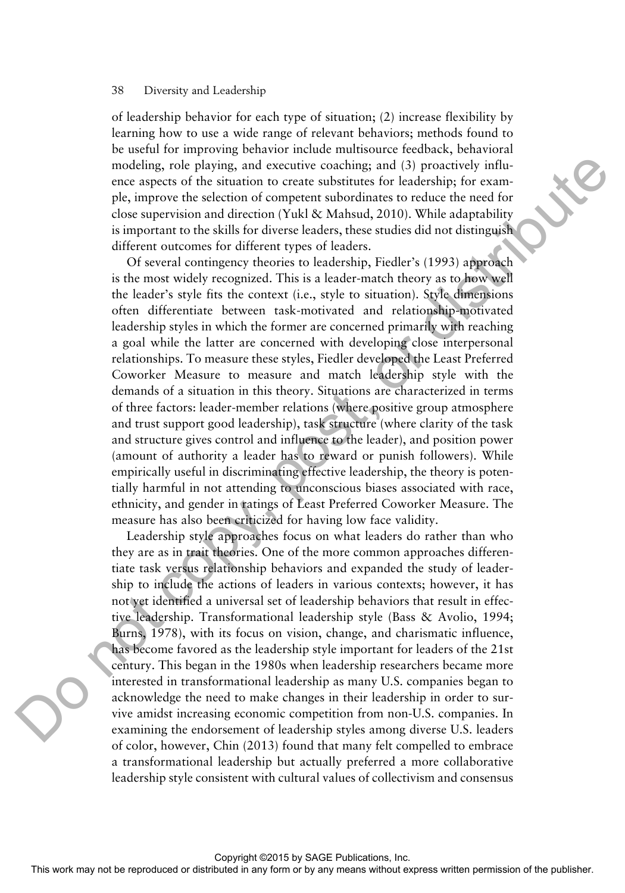of leadership behavior for each type of situation; (2) increase flexibility by learning how to use a wide range of relevant behaviors; methods found to be useful for improving behavior include multisource feedback, behavioral modeling, role playing, and executive coaching; and (3) proactively influence aspects of the situation to create substitutes for leadership; for example, improve the selection of competent subordinates to reduce the need for close supervision and direction (Yukl & Mahsud, 2010). While adaptability is important to the skills for diverse leaders, these studies did not distinguish different outcomes for different types of leaders.

Of several contingency theories to leadership, Fiedler's (1993) approach is the most widely recognized. This is a leader-match theory as to how well the leader's style fits the context (i.e., style to situation). Style dimensions often differentiate between task-motivated and relationship-motivated leadership styles in which the former are concerned primarily with reaching a goal while the latter are concerned with developing close interpersonal relationships. To measure these styles, Fiedler developed the Least Preferred Coworker Measure to measure and match leadership style with the demands of a situation in this theory. Situations are characterized in terms of three factors: leader-member relations (where positive group atmosphere and trust support good leadership), task structure (where clarity of the task and structure gives control and influence to the leader), and position power (amount of authority a leader has to reward or punish followers). While empirically useful in discriminating effective leadership, the theory is potentially harmful in not attending to unconscious biases associated with race, ethnicity, and gender in ratings of Least Preferred Coworker Measure. The measure has also been criticized for having low face validity. modeling, tole plays and excelutive conclusions; and is a possible in the representation or distributed in any form or be represented to the represented or distributed in a mean of the publisher. The statistic is a mean of

Leadership style approaches focus on what leaders do rather than who they are as in trait theories. One of the more common approaches differentiate task versus relationship behaviors and expanded the study of leadership to include the actions of leaders in various contexts; however, it has not yet identified a universal set of leadership behaviors that result in effective leadership. Transformational leadership style (Bass & Avolio, 1994; Burns, 1978), with its focus on vision, change, and charismatic influence, has become favored as the leadership style important for leaders of the 21st century. This began in the 1980s when leadership researchers became more interested in transformational leadership as many U.S. companies began to acknowledge the need to make changes in their leadership in order to survive amidst increasing economic competition from non-U.S. companies. In examining the endorsement of leadership styles among diverse U.S. leaders of color, however, Chin (2013) found that many felt compelled to embrace a transformational leadership but actually preferred a more collaborative leadership style consistent with cultural values of collectivism and consensus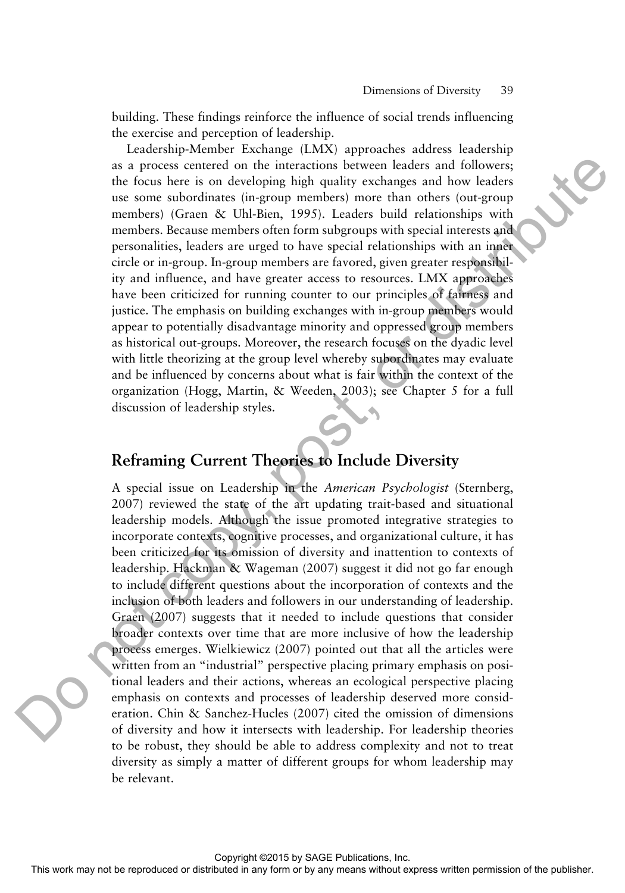building. These findings reinforce the influence of social trends influencing the exercise and perception of leadership.

Leadership-Member Exchange (LMX) approaches address leadership as a process centered on the interactions between leaders and followers; the focus here is on developing high quality exchanges and how leaders use some subordinates (in-group members) more than others (out-group members) (Graen & Uhl-Bien, 1995). Leaders build relationships with members. Because members often form subgroups with special interests and personalities, leaders are urged to have special relationships with an inner circle or in-group. In-group members are favored, given greater responsibility and influence, and have greater access to resources. LMX approaches have been criticized for running counter to our principles of fairness and justice. The emphasis on building exchanges with in-group members would appear to potentially disadvantage minority and oppressed group members as historical out-groups. Moreover, the research focuses on the dyadic level with little theorizing at the group level whereby subordinates may evaluate and be influenced by concerns about what is fair within the context of the organization (Hogg, Martin, & Weeden, 2003); see Chapter 5 for a full discussion of leadership styles.

# **Reframing Current Theories to Include Diversity**

A special issue on Leadership in the *American Psychologist* (Sternberg, 2007) reviewed the state of the art updating trait-based and situational leadership models. Although the issue promoted integrative strategies to incorporate contexts, cognitive processes, and organizational culture, it has been criticized for its omission of diversity and inattention to contexts of leadership. Hackman & Wageman (2007) suggest it did not go far enough to include different questions about the incorporation of contexts and the inclusion of both leaders and followers in our understanding of leadership. Graen (2007) suggests that it needed to include questions that consider broader contexts over time that are more inclusive of how the leadership process emerges. Wielkiewicz (2007) pointed out that all the articles were written from an "industrial" perspective placing primary emphasis on positional leaders and their actions, whereas an ecological perspective placing emphasis on contexts and processes of leadership deserved more consideration. Chin & Sanchez-Hucles (2007) cited the omission of dimensions of diversity and how it intersects with leadership. For leadership theories to be robust, they should be able to address complexity and not to treat diversity as simply a matter of different groups for whom leadership may be relevant. The first may note that the representation in the interaction between any form or distributed in any form or distributed in any form or any means when the reproduced in any means when the reproduced in any form or any for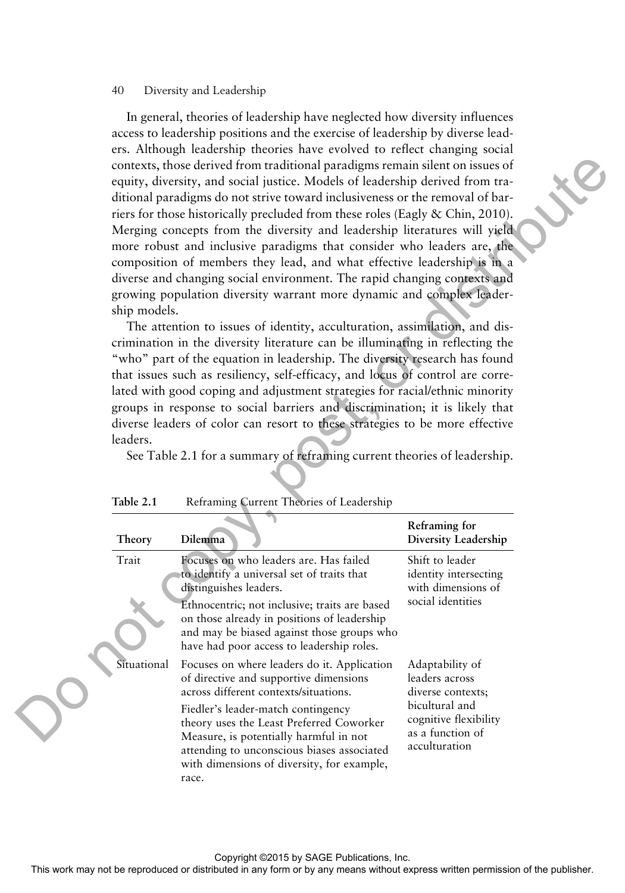In general, theories of leadership have neglected how diversity influences access to leadership positions and the exercise of leadership by diverse leaders. Although leadership theories have evolved to reflect changing social contexts, those derived from traditional paradigms remain silent on issues of equity, diversity, and social justice. Models of leadership derived from traditional paradigms do not strive toward inclusiveness or the removal of barriers for those historically precluded from these roles (Eagly & Chin, 2010). Merging concepts from the diversity and leadership literatures will yield more robust and inclusive paradigms that consider who leaders are, the composition of members they lead, and what effective leadership is in a diverse and changing social environment. The rapid changing contexts and growing population diversity warrant more dynamic and complex leadership models.

| ship models.          | contexts, those derived from traditional paradigms remain silent on issues of<br>equity, diversity, and social justice. Models of leadership derived from tra-<br>ditional paradigms do not strive toward inclusiveness or the removal of bar-<br>riers for those historically precluded from these roles (Eagly & Chin, 2010).<br>Merging concepts from the diversity and leadership literatures will yield<br>more robust and inclusive paradigms that consider who leaders are, the<br>composition of members they lead, and what effective leadership is in a<br>diverse and changing social environment. The rapid changing contexts and<br>growing population diversity warrant more dynamic and complex leader-<br>The attention to issues of identity, acculturation, assimilation, and dis-<br>crimination in the diversity literature can be illuminating in reflecting the<br>"who" part of the equation in leadership. The diversity research has found<br>that issues such as resiliency, self-efficacy, and locus of control are corre- |                                                                                     |  |
|-----------------------|-------------------------------------------------------------------------------------------------------------------------------------------------------------------------------------------------------------------------------------------------------------------------------------------------------------------------------------------------------------------------------------------------------------------------------------------------------------------------------------------------------------------------------------------------------------------------------------------------------------------------------------------------------------------------------------------------------------------------------------------------------------------------------------------------------------------------------------------------------------------------------------------------------------------------------------------------------------------------------------------------------------------------------------------------------|-------------------------------------------------------------------------------------|--|
| leaders.<br>Table 2.1 | lated with good coping and adjustment strategies for racial/ethnic minority<br>groups in response to social barriers and discrimination; it is likely that<br>diverse leaders of color can resort to these strategies to be more effective<br>See Table 2.1 for a summary of reframing current theories of leadership.<br>Reframing Current Theories of Leadership                                                                                                                                                                                                                                                                                                                                                                                                                                                                                                                                                                                                                                                                                    |                                                                                     |  |
| Theory                | Dilemma                                                                                                                                                                                                                                                                                                                                                                                                                                                                                                                                                                                                                                                                                                                                                                                                                                                                                                                                                                                                                                               | Reframing for<br>Diversity Leadership                                               |  |
| Trait                 | Focuses on who leaders are. Has failed<br>to identify a universal set of traits that<br>distinguishes leaders.<br>Ethnocentric; not inclusive; traits are based<br>on those already in positions of leadership<br>and may be biased against those groups who<br>have had poor access to leadership roles.                                                                                                                                                                                                                                                                                                                                                                                                                                                                                                                                                                                                                                                                                                                                             | Shift to leader<br>identity intersecting<br>with dimensions of<br>social identities |  |
|                       | Focuses on where leaders do it. Application                                                                                                                                                                                                                                                                                                                                                                                                                                                                                                                                                                                                                                                                                                                                                                                                                                                                                                                                                                                                           |                                                                                     |  |

| Table 2.1 | Reframing Current Theories of Leadership |  |  |  |  |
|-----------|------------------------------------------|--|--|--|--|
|-----------|------------------------------------------|--|--|--|--|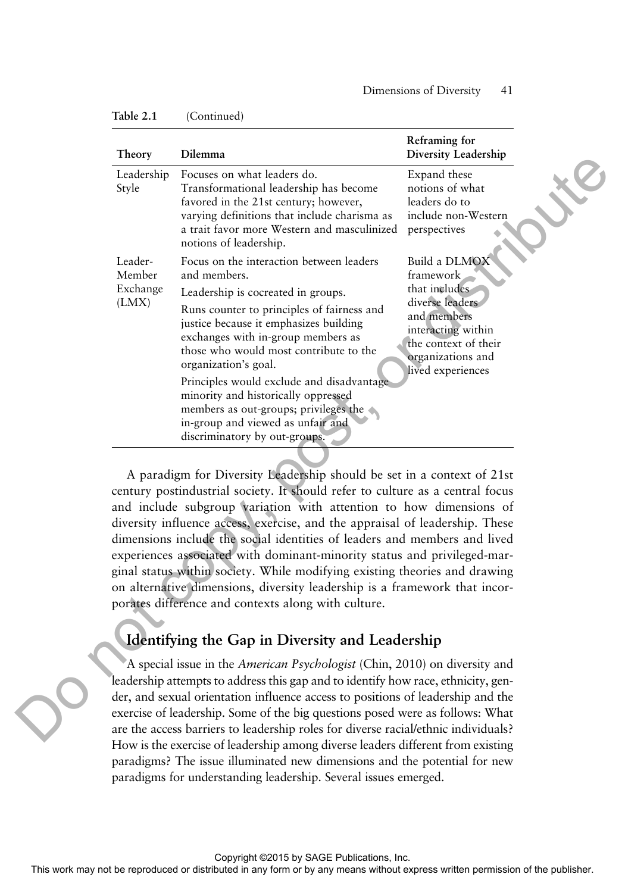| Theory                                                                                                                                                                                                                                                                                                                                                                                                                                                                                                                                                                                                          | Dilemma                                                                                                                                                                                                                                                                                                                                                                                                                                                                                                                                                                                                                                                                                                         | Reframing for<br>Diversity Leadership                                                                                                                                 |  |  |  |
|-----------------------------------------------------------------------------------------------------------------------------------------------------------------------------------------------------------------------------------------------------------------------------------------------------------------------------------------------------------------------------------------------------------------------------------------------------------------------------------------------------------------------------------------------------------------------------------------------------------------|-----------------------------------------------------------------------------------------------------------------------------------------------------------------------------------------------------------------------------------------------------------------------------------------------------------------------------------------------------------------------------------------------------------------------------------------------------------------------------------------------------------------------------------------------------------------------------------------------------------------------------------------------------------------------------------------------------------------|-----------------------------------------------------------------------------------------------------------------------------------------------------------------------|--|--|--|
| Leadership<br>Style                                                                                                                                                                                                                                                                                                                                                                                                                                                                                                                                                                                             | Focuses on what leaders do.<br>Transformational leadership has become<br>favored in the 21st century; however,<br>varying definitions that include charisma as<br>a trait favor more Western and masculinized<br>notions of leadership.                                                                                                                                                                                                                                                                                                                                                                                                                                                                         | Expand these<br>notions of what<br>leaders do to<br>include non-Western<br>perspectives                                                                               |  |  |  |
| Leader-<br>Member<br>Exchange<br>(LMX)                                                                                                                                                                                                                                                                                                                                                                                                                                                                                                                                                                          | Focus on the interaction between leaders<br>and members.<br>Leadership is cocreated in groups.<br>Runs counter to principles of fairness and<br>justice because it emphasizes building<br>exchanges with in-group members as<br>those who would most contribute to the<br>organization's goal.<br>Principles would exclude and disadvantage<br>minority and historically oppressed<br>members as out-groups; privileges the<br>in-group and viewed as unfair and<br>discriminatory by out-groups.<br>A paradigm for Diversity Leadership should be set in a context of 21st                                                                                                                                     | Build a DLMOX<br>framework<br>that includes<br>diverse leaders<br>and members<br>interacting within<br>the context of their<br>organizations and<br>lived experiences |  |  |  |
| century postindustrial society. It should refer to culture as a central focus<br>and include subgroup variation with attention to how dimensions of<br>diversity influence access, exercise, and the appraisal of leadership. These<br>dimensions include the social identities of leaders and members and lived<br>experiences associated with dominant-minority status and privileged-mar-<br>ginal status within society. While modifying existing theories and drawing<br>on alternative dimensions, diversity leadership is a framework that incor-<br>porates difference and contexts along with culture. |                                                                                                                                                                                                                                                                                                                                                                                                                                                                                                                                                                                                                                                                                                                 |                                                                                                                                                                       |  |  |  |
|                                                                                                                                                                                                                                                                                                                                                                                                                                                                                                                                                                                                                 | Identifying the Gap in Diversity and Leadership<br>A special issue in the American Psychologist (Chin, 2010) on diversity and<br>leadership attempts to address this gap and to identify how race, ethnicity, gen-<br>der, and sexual orientation influence access to positions of leadership and the<br>exercise of leadership. Some of the big questions posed were as follows: What<br>are the access barriers to leadership roles for diverse racial/ethnic individuals?<br>How is the exercise of leadership among diverse leaders different from existing<br>paradigms? The issue illuminated new dimensions and the potential for new<br>paradigms for understanding leadership. Several issues emerged. |                                                                                                                                                                       |  |  |  |
|                                                                                                                                                                                                                                                                                                                                                                                                                                                                                                                                                                                                                 | Copyright ©2015 by SAGE Publications, Inc.<br>This work may not be reproduced or distributed in any form or by any means without express written permission of the publisher.                                                                                                                                                                                                                                                                                                                                                                                                                                                                                                                                   |                                                                                                                                                                       |  |  |  |

**Table 2.1** (Continued)

# **Identifying the Gap in Diversity and Leadership**

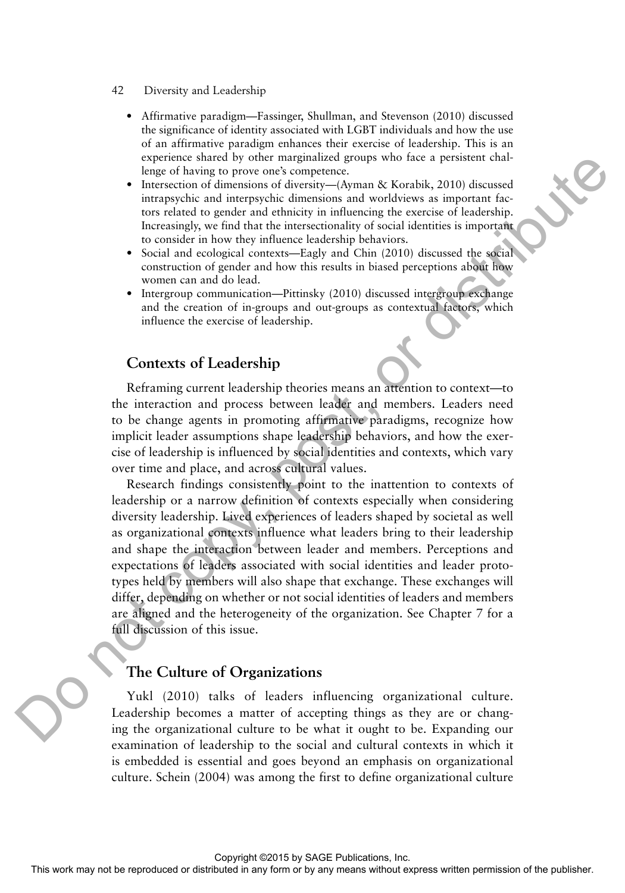- Affirmative paradigm—Fassinger, Shullman, and Stevenson (2010) discussed the significance of identity associated with LGBT individuals and how the use of an affirmative paradigm enhances their exercise of leadership. This is an experience shared by other marginalized groups who face a persistent challenge of having to prove one's competence.
- Intersection of dimensions of diversity—(Ayman & Korabik, 2010) discussed intrapsychic and interpsychic dimensions and worldviews as important factors related to gender and ethnicity in influencing the exercise of leadership. Increasingly, we find that the intersectionality of social identities is important to consider in how they influence leadership behaviors.
- Social and ecological contexts—Eagly and Chin (2010) discussed the social construction of gender and how this results in biased perceptions about how women can and do lead.
- Intergroup communication—Pittinsky (2010) discussed intergroup exchange and the creation of in-groups and out-groups as contextual factors, which influence the exercise of leadership.

### **Contexts of Leadership**

Reframing current leadership theories means an attention to context—to the interaction and process between leader and members. Leaders need to be change agents in promoting affirmative paradigms, recognize how implicit leader assumptions shape leadership behaviors, and how the exercise of leadership is influenced by social identities and contexts, which vary over time and place, and across cultural values.

Research findings consistently point to the inattention to contexts of leadership or a narrow definition of contexts especially when considering diversity leadership. Lived experiences of leaders shaped by societal as well as organizational contexts influence what leaders bring to their leadership and shape the interaction between leader and members. Perceptions and expectations of leaders associated with social identities and leader prototypes held by members will also shape that exchange. These exchanges will differ, depending on whether or not social identities of leaders and members are aligned and the heterogeneity of the organization. See Chapter 7 for a full discussion of this issue. Express that we have been appeared to the repression of the repression of the publishers at interaction of the state in a week and interaction of the publishers at interaction of the publishers at interaction of the publi

### **The Culture of Organizations**

Yukl (2010) talks of leaders influencing organizational culture. Leadership becomes a matter of accepting things as they are or changing the organizational culture to be what it ought to be. Expanding our examination of leadership to the social and cultural contexts in which it is embedded is essential and goes beyond an emphasis on organizational culture. Schein (2004) was among the first to define organizational culture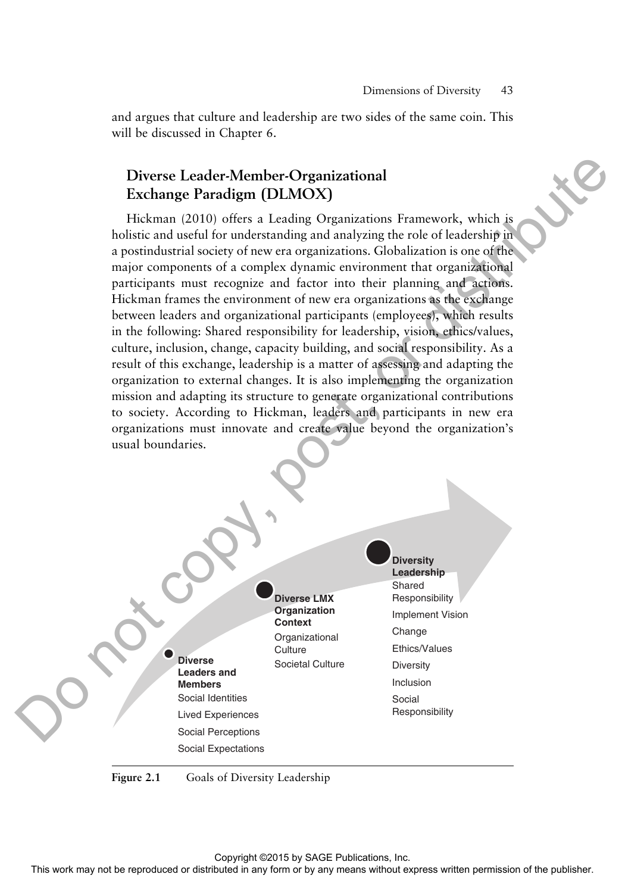and argues that culture and leadership are two sides of the same coin. This will be discussed in Chapter 6.

# **Diverse Leader-Member-Organizational Exchange Paradigm (DLMOX)**

Hickman (2010) offers a Leading Organizations Framework, which is holistic and useful for understanding and analyzing the role of leadership in a postindustrial society of new era organizations. Globalization is one of the major components of a complex dynamic environment that organizational participants must recognize and factor into their planning and actions. Hickman frames the environment of new era organizations as the exchange between leaders and organizational participants (employees), which results in the following: Shared responsibility for leadership, vision, ethics/values, culture, inclusion, change, capacity building, and social responsibility. As a result of this exchange, leadership is a matter of assessing and adapting the organization to external changes. It is also implementing the organization mission and adapting its structure to generate organizational contributions to society. According to Hickman, leaders and participants in new era organizations must innovate and create value beyond the organization's usual boundaries.



Figure 2.1 Goals of Diversity Leadership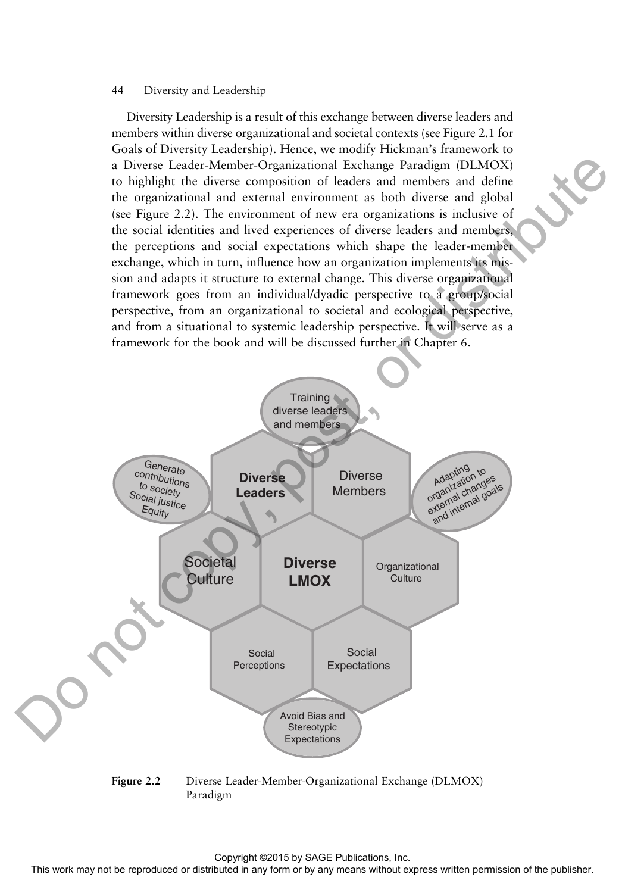Diversity Leadership is a result of this exchange between diverse leaders and members within diverse organizational and societal contexts (see Figure 2.1 for Goals of Diversity Leadership). Hence, we modify Hickman's framework to a Diverse Leader-Member-Organizational Exchange Paradigm (DLMOX) to highlight the diverse composition of leaders and members and define the organizational and external environment as both diverse and global (see Figure 2.2). The environment of new era organizations is inclusive of the social identities and lived experiences of diverse leaders and members, the perceptions and social expectations which shape the leader-member exchange, which in turn, influence how an organization implements its mission and adapts it structure to external change. This diverse organizational framework goes from an individual/dyadic perspective to a group/social perspective, from an organizational to societal and ecological perspective, and from a situational to systemic leadership perspective. It will serve as a framework for the book and will be discussed further in Chapter 6.



**Figure 2.2** Diverse Leader-Member-Organizational Exchange (DLMOX) Paradigm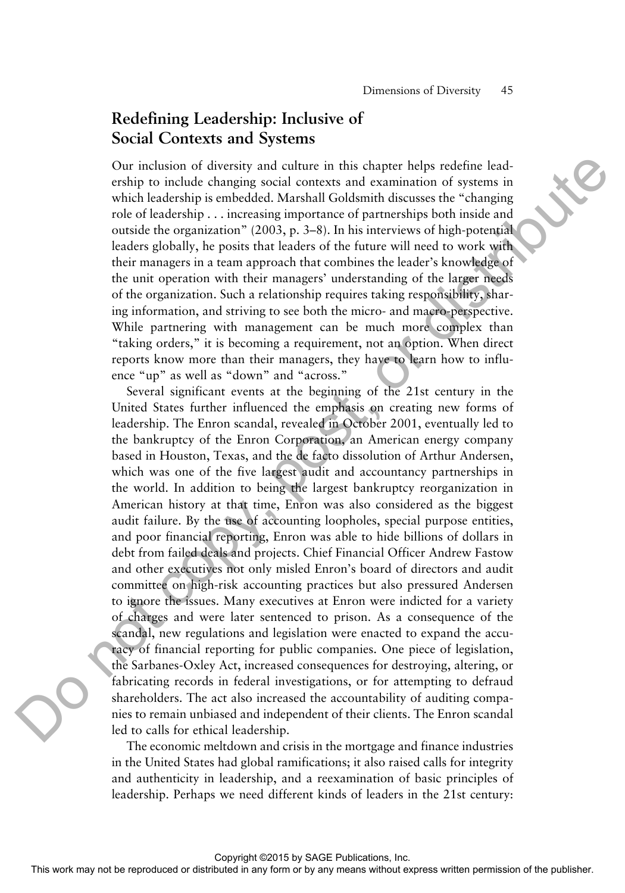# **Redefining Leadership: Inclusive of Social Contexts and Systems**

Our inclusion of diversity and culture in this chapter helps redefine leadership to include changing social contexts and examination of systems in which leadership is embedded. Marshall Goldsmith discusses the "changing role of leadership . . . increasing importance of partnerships both inside and outside the organization" (2003, p. 3–8). In his interviews of high-potential leaders globally, he posits that leaders of the future will need to work with their managers in a team approach that combines the leader's knowledge of the unit operation with their managers' understanding of the larger needs of the organization. Such a relationship requires taking responsibility, sharing information, and striving to see both the micro- and macro-perspective. While partnering with management can be much more complex than "taking orders," it is becoming a requirement, not an option. When direct reports know more than their managers, they have to learn how to influence "up" as well as "down" and "across."

Several significant events at the beginning of the 21st century in the United States further influenced the emphasis on creating new forms of leadership. The Enron scandal, revealed in October 2001, eventually led to the bankruptcy of the Enron Corporation, an American energy company based in Houston, Texas, and the de facto dissolution of Arthur Andersen, which was one of the five largest audit and accountancy partnerships in the world. In addition to being the largest bankruptcy reorganization in American history at that time, Enron was also considered as the biggest audit failure. By the use of accounting loopholes, special purpose entities, and poor financial reporting, Enron was able to hide billions of dollars in debt from failed deals and projects. Chief Financial Officer Andrew Fastow and other executives not only misled Enron's board of directors and audit committee on high-risk accounting practices but also pressured Andersen to ignore the issues. Many executives at Enron were indicted for a variety of charges and were later sentenced to prison. As a consequence of the scandal, new regulations and legislation were enacted to expand the accuracy of financial reporting for public companies. One piece of legislation, the Sarbanes-Oxley Act, increased consequences for destroying, altering, or fabricating records in federal investigations, or for attempting to defraud shareholders. The act also increased the accountability of auditing companies to remain unbiased and independent of their clients. The Enron scandal led to calls for ethical leadership. Our inclusion of distribution in this charge between lotters into the relation in subsection is considered in an explaining Considered Marshall Galaxies the "changing role of the distributed in any field Consider the publ

The economic meltdown and crisis in the mortgage and finance industries in the United States had global ramifications; it also raised calls for integrity and authenticity in leadership, and a reexamination of basic principles of leadership. Perhaps we need different kinds of leaders in the 21st century:

Copyright ©2015 by SAGE Publications, Inc.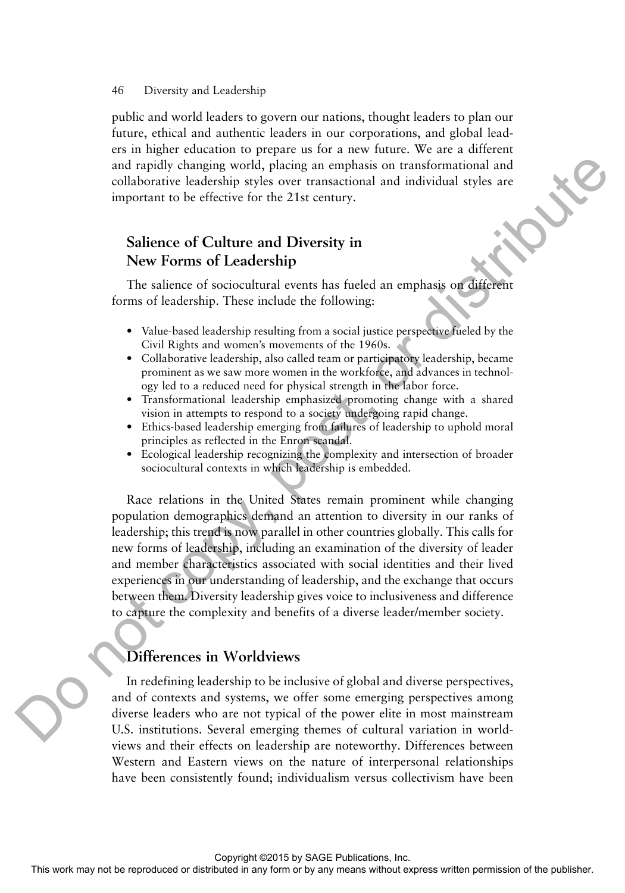public and world leaders to govern our nations, thought leaders to plan our future, ethical and authentic leaders in our corporations, and global leaders in higher education to prepare us for a new future. We are a different and rapidly changing world, placing an emphasis on transformational and collaborative leadership styles over transactional and individual styles are important to be effective for the 21st century.

# **Salience of Culture and Diversity in New Forms of Leadership**

The salience of sociocultural events has fueled an emphasis on different forms of leadership. These include the following:

- Value-based leadership resulting from a social justice perspective fueled by the Civil Rights and women's movements of the 1960s.
- Collaborative leadership, also called team or participatory leadership, became prominent as we saw more women in the workforce, and advances in technology led to a reduced need for physical strength in the labor force.
- Transformational leadership emphasized promoting change with a shared vision in attempts to respond to a society undergoing rapid change.
- Ethics-based leadership emerging from failures of leadership to uphold moral principles as reflected in the Enron scandal.
- Ecological leadership recognizing the complexity and intersection of broader sociocultural contexts in which leadership is embedded.

Race relations in the United States remain prominent while changing population demographics demand an attention to diversity in our ranks of leadership; this trend is now parallel in other countries globally. This calls for new forms of leadership, including an examination of the diversity of leader and member characteristics associated with social identities and their lived experiences in our understanding of leadership, and the exchange that occurs between them. Diversity leadership gives voice to inclusiveness and difference to capture the complexity and benefits of a diverse leader/member society. The context may not be reproduced or distributed in a may not context may not be reproduced or distributed in the same interaction of Calculation (Figure 21st context).<br>The same of sacisfication of the publisher, the may n

# **Differences in Worldviews**

In redefining leadership to be inclusive of global and diverse perspectives, and of contexts and systems, we offer some emerging perspectives among diverse leaders who are not typical of the power elite in most mainstream U.S. institutions. Several emerging themes of cultural variation in worldviews and their effects on leadership are noteworthy. Differences between Western and Eastern views on the nature of interpersonal relationships have been consistently found; individualism versus collectivism have been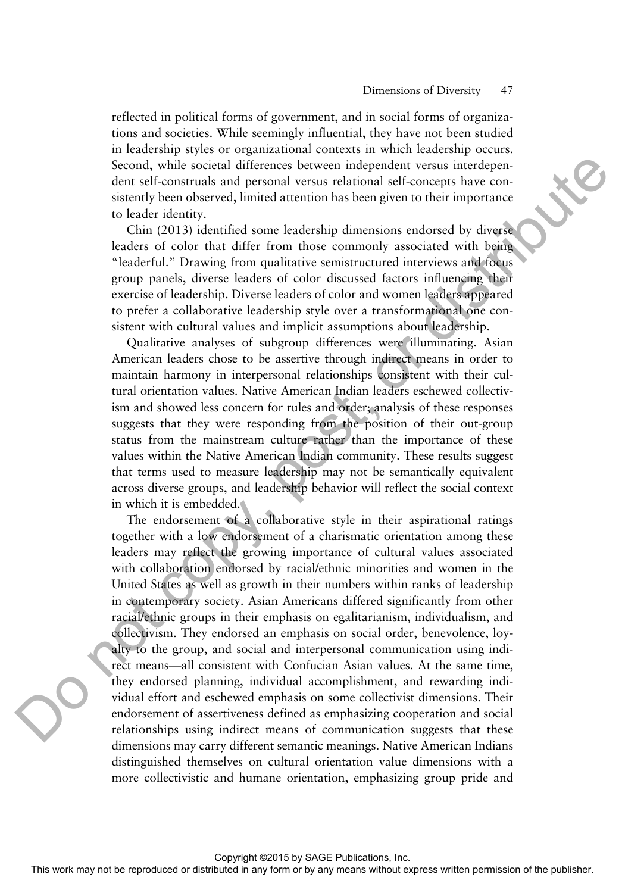reflected in political forms of government, and in social forms of organizations and societies. While seemingly influential, they have not been studied in leadership styles or organizational contexts in which leadership occurs. Second, while societal differences between independent versus interdependent self-construals and personal versus relational self-concepts have consistently been observed, limited attention has been given to their importance to leader identity.

Chin (2013) identified some leadership dimensions endorsed by diverse leaders of color that differ from those commonly associated with being "leaderful." Drawing from qualitative semistructured interviews and focus group panels, diverse leaders of color discussed factors influencing their exercise of leadership. Diverse leaders of color and women leaders appeared to prefer a collaborative leadership style over a transformational one consistent with cultural values and implicit assumptions about leadership.

Qualitative analyses of subgroup differences were illuminating. Asian American leaders chose to be assertive through indirect means in order to maintain harmony in interpersonal relationships consistent with their cultural orientation values. Native American Indian leaders eschewed collectivism and showed less concern for rules and order; analysis of these responses suggests that they were responding from the position of their out-group status from the mainstream culture rather than the importance of these values within the Native American Indian community. These results suggest that terms used to measure leadership may not be semantically equivalent across diverse groups, and leadership behavior will reflect the social context in which it is embedded.

The endorsement of a collaborative style in their aspirational ratings together with a low endorsement of a charismatic orientation among these leaders may reflect the growing importance of cultural values associated with collaboration endorsed by racial/ethnic minorities and women in the United States as well as growth in their numbers within ranks of leadership in contemporary society. Asian Americans differed significantly from other racial/ethnic groups in their emphasis on egalitarianism, individualism, and collectivism. They endorsed an emphasis on social order, benevolence, loyalty to the group, and social and interpersonal communication using indirect means—all consistent with Confucian Asian values. At the same time, they endorsed planning, individual accomplishment, and rewarding individual effort and eschewed emphasis on some collectivist dimensions. Their endorsement of assertiveness defined as emphasizing cooperation and social relationships using indirect means of communication suggests that these dimensions may carry different semantic meanings. Native American Indians distinguished themselves on cultural orientation value dimensions with a more collectivistic and humane orientation, emphasizing group pride and Second, while society and between independent versus interdependent and the representation or distributed or distributed in any form or by any means were stated by any means were stated in a comparison of the reproduced i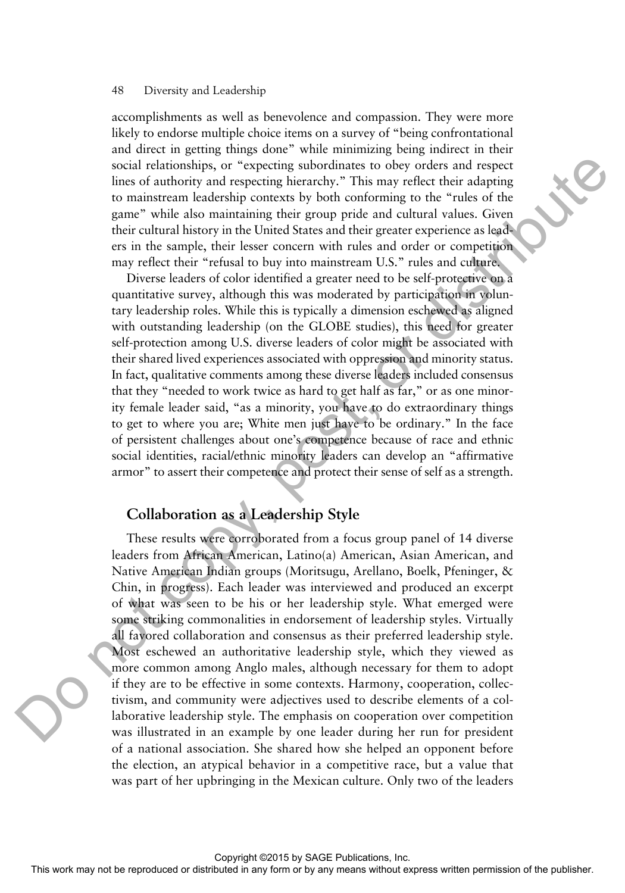accomplishments as well as benevolence and compassion. They were more likely to endorse multiple choice items on a survey of "being confrontational and direct in getting things done" while minimizing being indirect in their social relationships, or "expecting subordinates to obey orders and respect lines of authority and respecting hierarchy." This may reflect their adapting to mainstream leadership contexts by both conforming to the "rules of the game" while also maintaining their group pride and cultural values. Given their cultural history in the United States and their greater experience as leaders in the sample, their lesser concern with rules and order or competition may reflect their "refusal to buy into mainstream U.S." rules and culture.

Diverse leaders of color identified a greater need to be self-protective on a quantitative survey, although this was moderated by participation in voluntary leadership roles. While this is typically a dimension eschewed as aligned with outstanding leadership (on the GLOBE studies), this need for greater self-protection among U.S. diverse leaders of color might be associated with their shared lived experiences associated with oppression and minority status. In fact, qualitative comments among these diverse leaders included consensus that they "needed to work twice as hard to get half as far," or as one minority female leader said, "as a minority, you have to do extraordinary things to get to where you are; White men just have to be ordinary." In the face of persistent challenges about one's competence because of race and ethnic social identities, racial/ethnic minority leaders can develop an "affirmative armor" to assert their competence and protect their sense of self as a strength.

# **Collaboration as a Leadership Style**

These results were corroborated from a focus group panel of 14 diverse leaders from African American, Latino(a) American, Asian American, and Native American Indian groups (Moritsugu, Arellano, Boelk, Pfeninger, & Chin, in progress). Each leader was interviewed and produced an excerpt of what was seen to be his or her leadership style. What emerged were some striking commonalities in endorsement of leadership styles. Virtually all favored collaboration and consensus as their preferred leadership style. Most eschewed an authoritative leadership style, which they viewed as more common among Anglo males, although necessary for them to adopt if they are to be effective in some contexts. Harmony, cooperation, collectivism, and community were adjectives used to describe elements of a collaborative leadership style. The emphasis on cooperation over competition was illustrated in an example by one leader during her run for president of a national association. She shared how she helped an opponent before the election, an atypical behavior in a competitive race, but a value that was part of her upbringing in the Mexican culture. Only two of the leaders social external behavior and respectively. This may reflect their stating the representation of the representation or the representation of the representation of the representation of the representation of the representat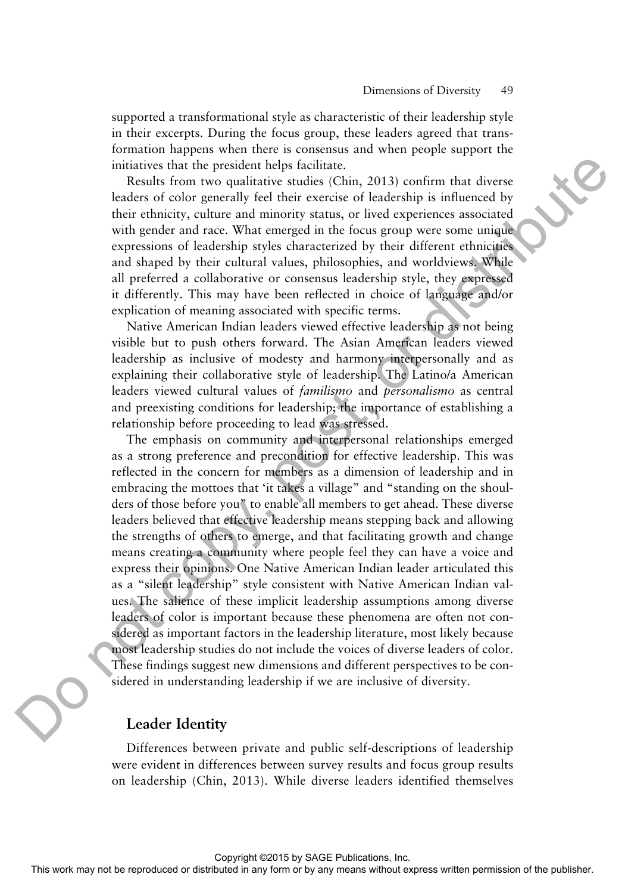supported a transformational style as characteristic of their leadership style in their excerpts. During the focus group, these leaders agreed that transformation happens when there is consensus and when people support the initiatives that the president helps facilitate.

Results from two qualitative studies (Chin, 2013) confirm that diverse leaders of color generally feel their exercise of leadership is influenced by their ethnicity, culture and minority status, or lived experiences associated with gender and race. What emerged in the focus group were some unique expressions of leadership styles characterized by their different ethnicities and shaped by their cultural values, philosophies, and worldviews. While all preferred a collaborative or consensus leadership style, they expressed it differently. This may have been reflected in choice of language and/or explication of meaning associated with specific terms.

Native American Indian leaders viewed effective leadership as not being visible but to push others forward. The Asian American leaders viewed leadership as inclusive of modesty and harmony interpersonally and as explaining their collaborative style of leadership. The Latino/a American leaders viewed cultural values of *familismo* and *personalismo* as central and preexisting conditions for leadership; the importance of establishing a relationship before proceeding to lead was stressed.

The emphasis on community and interpersonal relationships emerged as a strong preference and precondition for effective leadership. This was reflected in the concern for members as a dimension of leadership and in embracing the mottoes that 'it takes a village" and "standing on the shoulders of those before you" to enable all members to get ahead. These diverse leaders believed that effective leadership means stepping back and allowing the strengths of others to emerge, and that facilitating growth and change means creating a community where people feel they can have a voice and express their opinions. One Native American Indian leader articulated this as a "silent leadership" style consistent with Native American Indian values. The salience of these implicit leadership assumptions among diverse leaders of color is important because these phenomena are often not considered as important factors in the leadership literature, most likely because most leadership studies do not include the voices of diverse leaders of color. These findings suggest new dimensions and different perspectives to be considered in understanding leadership if we are inclusive of diversity. inductions that the purcise controllation between the relation to the controllation of the controllation or distributed in any form or by any means with the increase of the controllation of the company of the company in a

### **Leader Identity**

Differences between private and public self-descriptions of leadership were evident in differences between survey results and focus group results on leadership (Chin, 2013). While diverse leaders identified themselves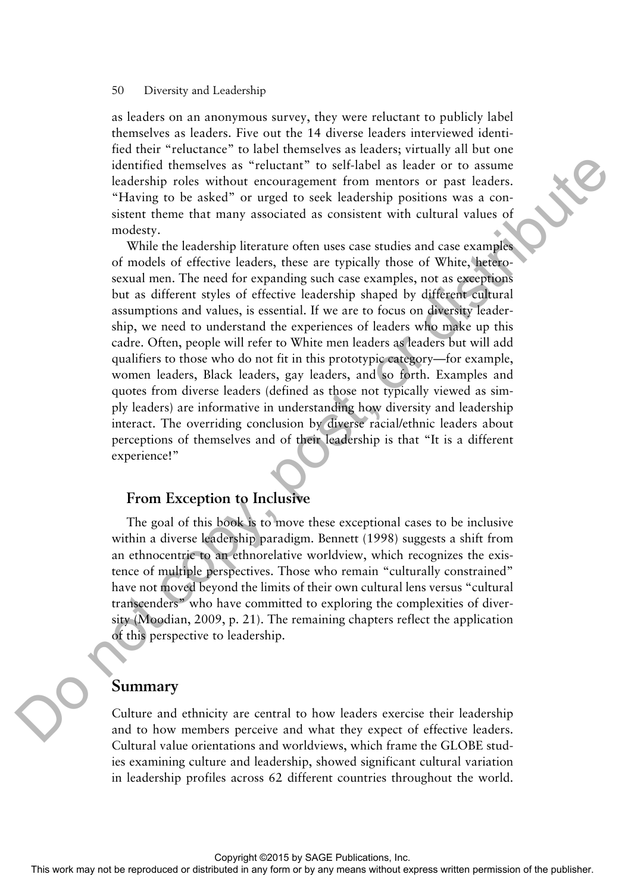as leaders on an anonymous survey, they were reluctant to publicly label themselves as leaders. Five out the 14 diverse leaders interviewed identified their "reluctance" to label themselves as leaders; virtually all but one identified themselves as "reluctant" to self-label as leader or to assume leadership roles without encouragement from mentors or past leaders. "Having to be asked" or urged to seek leadership positions was a consistent theme that many associated as consistent with cultural values of modesty.

While the leadership literature often uses case studies and case examples of models of effective leaders, these are typically those of White, heterosexual men. The need for expanding such case examples, not as exceptions but as different styles of effective leadership shaped by different cultural assumptions and values, is essential. If we are to focus on diversity leadership, we need to understand the experiences of leaders who make up this cadre. Often, people will refer to White men leaders as leaders but will add qualifiers to those who do not fit in this prototypic category—for example, women leaders, Black leaders, gay leaders, and so forth. Examples and quotes from diverse leaders (defined as those not typically viewed as simply leaders) are informative in understanding how diversity and leadership interact. The overriding conclusion by diverse racial/ethnic leaders about perceptions of themselves and of their leadership is that "It is a different experience!" The internal or the reader or the experiment or the relation of the representation or the reproduced or the reproduced or the relation of the results of models. The reader or the publisher of the publisher with a smaller

### **From Exception to Inclusive**

The goal of this book is to move these exceptional cases to be inclusive within a diverse leadership paradigm. Bennett (1998) suggests a shift from an ethnocentric to an ethnorelative worldview, which recognizes the existence of multiple perspectives. Those who remain "culturally constrained" have not moved beyond the limits of their own cultural lens versus "cultural transcenders" who have committed to exploring the complexities of diversity (Moodian, 2009, p. 21). The remaining chapters reflect the application of this perspective to leadership.

### **Summary**

Culture and ethnicity are central to how leaders exercise their leadership and to how members perceive and what they expect of effective leaders. Cultural value orientations and worldviews, which frame the GLOBE studies examining culture and leadership, showed significant cultural variation in leadership profiles across 62 different countries throughout the world.

Copyright ©2015 by SAGE Publications, Inc.